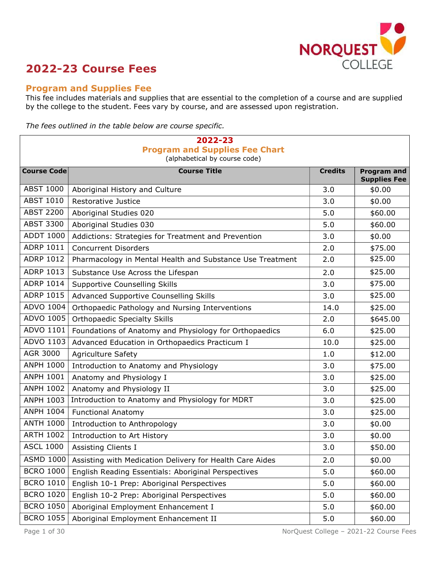

# 2022-23 Course Fees

### Program and Supplies Fee

This fee includes materials and supplies that are essential to the completion of a course and are supplied by the college to the student. Fees vary by course, and are assessed upon registration.

The fees outlined in the table below are course specific.

| 2022-23<br><b>Program and Supplies Fee Chart</b> |                                                           |                |                                           |  |
|--------------------------------------------------|-----------------------------------------------------------|----------------|-------------------------------------------|--|
| (alphabetical by course code)                    |                                                           |                |                                           |  |
| <b>Course Code</b>                               | <b>Course Title</b>                                       | <b>Credits</b> | <b>Program and</b><br><b>Supplies Fee</b> |  |
| <b>ABST 1000</b>                                 | Aboriginal History and Culture                            | 3.0            | \$0.00                                    |  |
| <b>ABST 1010</b>                                 | Restorative Justice                                       | 3.0            | \$0.00                                    |  |
| <b>ABST 2200</b>                                 | Aboriginal Studies 020                                    | 5.0            | \$60.00                                   |  |
| <b>ABST 3300</b>                                 | Aboriginal Studies 030                                    | 5.0            | \$60.00                                   |  |
| <b>ADDT 1000</b>                                 | Addictions: Strategies for Treatment and Prevention       | 3.0            | \$0.00                                    |  |
| ADRP 1011                                        | <b>Concurrent Disorders</b>                               | 2.0            | \$75.00                                   |  |
| <b>ADRP 1012</b>                                 | Pharmacology in Mental Health and Substance Use Treatment | 2.0            | \$25.00                                   |  |
| ADRP 1013                                        | Substance Use Across the Lifespan                         | 2.0            | \$25.00                                   |  |
| <b>ADRP 1014</b>                                 | <b>Supportive Counselling Skills</b>                      | 3.0            | \$75.00                                   |  |
| <b>ADRP 1015</b>                                 | Advanced Supportive Counselling Skills                    | 3.0            | \$25.00                                   |  |
| ADVO 1004                                        | Orthopaedic Pathology and Nursing Interventions           | 14.0           | \$25.00                                   |  |
| ADVO 1005                                        | <b>Orthopaedic Specialty Skills</b>                       | 2.0            | \$645.00                                  |  |
| ADVO 1101                                        | Foundations of Anatomy and Physiology for Orthopaedics    | 6.0            | \$25.00                                   |  |
| ADVO 1103                                        | Advanced Education in Orthopaedics Practicum I            | 10.0           | \$25.00                                   |  |
| AGR 3000                                         | <b>Agriculture Safety</b>                                 | 1.0            | \$12.00                                   |  |
| <b>ANPH 1000</b>                                 | Introduction to Anatomy and Physiology                    | 3.0            | \$75.00                                   |  |
| <b>ANPH 1001</b>                                 | Anatomy and Physiology I                                  | 3.0            | \$25.00                                   |  |
| <b>ANPH 1002</b>                                 | Anatomy and Physiology II                                 | 3.0            | \$25.00                                   |  |
| <b>ANPH 1003</b>                                 | Introduction to Anatomy and Physiology for MDRT           | 3.0            | \$25.00                                   |  |
| <b>ANPH 1004</b>                                 | <b>Functional Anatomy</b>                                 | 3.0            | \$25.00                                   |  |
| <b>ANTH 1000</b>                                 | Introduction to Anthropology                              | 3.0            | \$0.00                                    |  |
| <b>ARTH 1002</b>                                 | Introduction to Art History                               | 3.0            | \$0.00                                    |  |
| <b>ASCL 1000</b>                                 | <b>Assisting Clients I</b>                                | 3.0            | \$50.00                                   |  |
| <b>ASMD 1000</b>                                 | Assisting with Medication Delivery for Health Care Aides  | 2.0            | \$0.00                                    |  |
| <b>BCRO 1000</b>                                 | English Reading Essentials: Aboriginal Perspectives       | 5.0            | \$60.00                                   |  |
| <b>BCRO 1010</b>                                 | English 10-1 Prep: Aboriginal Perspectives                | 5.0            | \$60.00                                   |  |
| <b>BCRO 1020</b>                                 | English 10-2 Prep: Aboriginal Perspectives                | 5.0            | \$60.00                                   |  |
| <b>BCRO 1050</b>                                 | Aboriginal Employment Enhancement I                       | 5.0            | \$60.00                                   |  |
| <b>BCRO 1055</b>                                 | Aboriginal Employment Enhancement II                      | 5.0            | \$60.00                                   |  |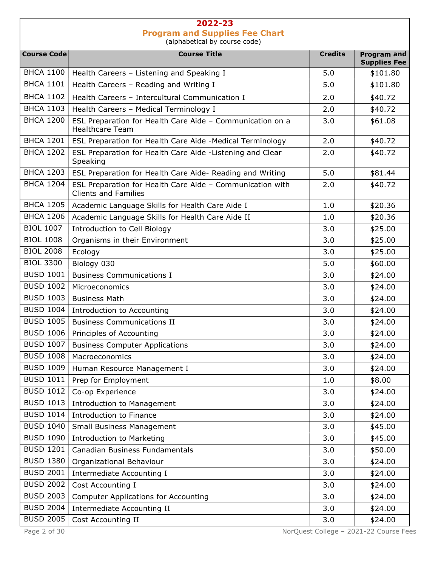## 2022-23 Program and Supplies Fee Chart

(alphabetical by course code)

| <b>Course Code</b> | <b>Course Title</b>                                                                      | <b>Credits</b> | <b>Program and</b><br><b>Supplies Fee</b> |
|--------------------|------------------------------------------------------------------------------------------|----------------|-------------------------------------------|
| <b>BHCA 1100</b>   | Health Careers - Listening and Speaking I                                                | 5.0            | \$101.80                                  |
| <b>BHCA 1101</b>   | Health Careers - Reading and Writing I                                                   | 5.0            | \$101.80                                  |
| <b>BHCA 1102</b>   | Health Careers - Intercultural Communication I                                           | 2.0            | \$40.72                                   |
| <b>BHCA 1103</b>   | Health Careers - Medical Terminology I                                                   | 2.0            | \$40.72                                   |
| <b>BHCA 1200</b>   | ESL Preparation for Health Care Aide - Communication on a<br><b>Healthcare Team</b>      | 3.0            | \$61.08                                   |
| <b>BHCA 1201</b>   | ESL Preparation for Health Care Aide -Medical Terminology                                | 2.0            | \$40.72                                   |
| <b>BHCA 1202</b>   | ESL Preparation for Health Care Aide -Listening and Clear<br>Speaking                    | 2.0            | \$40.72                                   |
| <b>BHCA 1203</b>   | ESL Preparation for Health Care Aide- Reading and Writing                                | 5.0            | \$81.44                                   |
| <b>BHCA 1204</b>   | ESL Preparation for Health Care Aide - Communication with<br><b>Clients and Families</b> | 2.0            | \$40.72                                   |
| <b>BHCA 1205</b>   | Academic Language Skills for Health Care Aide I                                          | 1.0            | \$20.36                                   |
| <b>BHCA 1206</b>   | Academic Language Skills for Health Care Aide II                                         | 1.0            | \$20.36                                   |
| <b>BIOL 1007</b>   | Introduction to Cell Biology                                                             | 3.0            | \$25.00                                   |
| <b>BIOL 1008</b>   | Organisms in their Environment                                                           | 3.0            | \$25.00                                   |
| <b>BIOL 2008</b>   | Ecology                                                                                  | 3.0            | \$25.00                                   |
| <b>BIOL 3300</b>   | Biology 030                                                                              | 5.0            | \$60.00                                   |
| <b>BUSD 1001</b>   | <b>Business Communications I</b>                                                         | 3.0            | \$24.00                                   |
| <b>BUSD 1002</b>   | Microeconomics                                                                           | 3.0            | \$24.00                                   |
| <b>BUSD 1003</b>   | <b>Business Math</b>                                                                     | 3.0            | \$24.00                                   |
| <b>BUSD 1004</b>   | Introduction to Accounting                                                               | 3.0            | \$24.00                                   |
| <b>BUSD 1005</b>   | <b>Business Communications II</b>                                                        | 3.0            | \$24.00                                   |
| <b>BUSD 1006</b>   | Principles of Accounting                                                                 | 3.0            | \$24.00                                   |
| <b>BUSD 1007</b>   | <b>Business Computer Applications</b>                                                    | 3.0            | \$24.00                                   |
| <b>BUSD 1008</b>   | Macroeconomics                                                                           | 3.0            | \$24.00                                   |
|                    | BUSD 1009   Human Resource Management I                                                  | 3.0            | \$24.00                                   |
| <b>BUSD 1011</b>   | Prep for Employment                                                                      | 1.0            | \$8.00                                    |
| <b>BUSD 1012</b>   | Co-op Experience                                                                         | 3.0            | \$24.00                                   |
| <b>BUSD 1013</b>   | <b>Introduction to Management</b>                                                        | 3.0            | \$24.00                                   |
| <b>BUSD 1014</b>   | Introduction to Finance                                                                  | 3.0            | \$24.00                                   |
| <b>BUSD 1040</b>   | <b>Small Business Management</b>                                                         | 3.0            | \$45.00                                   |
| <b>BUSD 1090</b>   | <b>Introduction to Marketing</b>                                                         | 3.0            | \$45.00                                   |
| <b>BUSD 1201</b>   | Canadian Business Fundamentals                                                           | 3.0            | \$50.00                                   |
| <b>BUSD 1380</b>   | Organizational Behaviour                                                                 | 3.0            | \$24.00                                   |
| <b>BUSD 2001</b>   | Intermediate Accounting I                                                                | 3.0            | \$24.00                                   |
| <b>BUSD 2002</b>   | Cost Accounting I                                                                        | 3.0            | \$24.00                                   |
| <b>BUSD 2003</b>   | <b>Computer Applications for Accounting</b>                                              | 3.0            | \$24.00                                   |
| <b>BUSD 2004</b>   | Intermediate Accounting II                                                               | 3.0            | \$24.00                                   |
| <b>BUSD 2005</b>   | Cost Accounting II                                                                       | 3.0            | \$24.00                                   |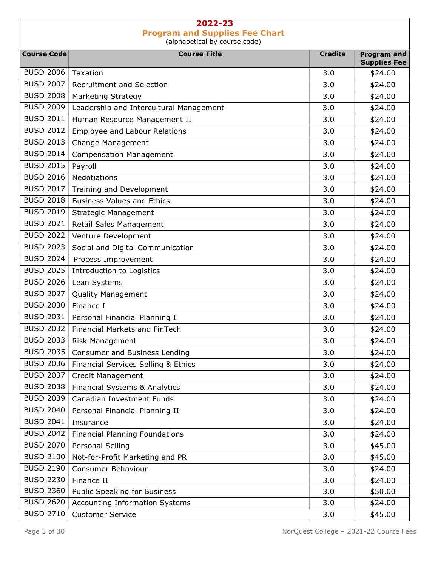| <b>Course Code</b> | <b>Course Title</b>                     | <b>Credits</b> |                                           |
|--------------------|-----------------------------------------|----------------|-------------------------------------------|
|                    |                                         |                | <b>Program and</b><br><b>Supplies Fee</b> |
| <b>BUSD 2006</b>   | Taxation                                | 3.0            | \$24.00                                   |
| <b>BUSD 2007</b>   | Recruitment and Selection               | 3.0            | \$24.00                                   |
| <b>BUSD 2008</b>   | Marketing Strategy                      | 3.0            | \$24.00                                   |
| <b>BUSD 2009</b>   | Leadership and Intercultural Management | 3.0            | \$24.00                                   |
| <b>BUSD 2011</b>   | Human Resource Management II            | 3.0            | \$24.00                                   |
| <b>BUSD 2012</b>   | <b>Employee and Labour Relations</b>    | 3.0            | \$24.00                                   |
| <b>BUSD 2013</b>   | Change Management                       | 3.0            | \$24.00                                   |
| <b>BUSD 2014</b>   | <b>Compensation Management</b>          | 3.0            | \$24.00                                   |
| <b>BUSD 2015</b>   | Payroll                                 | 3.0            | \$24.00                                   |
| <b>BUSD 2016</b>   | Negotiations                            | 3.0            | \$24.00                                   |
| <b>BUSD 2017</b>   | Training and Development                | 3.0            | \$24.00                                   |
| <b>BUSD 2018</b>   | <b>Business Values and Ethics</b>       | 3.0            | \$24.00                                   |
| <b>BUSD 2019</b>   | <b>Strategic Management</b>             | 3.0            | \$24.00                                   |
| <b>BUSD 2021</b>   | Retail Sales Management                 | 3.0            | \$24.00                                   |
| <b>BUSD 2022</b>   | Venture Development                     | 3.0            | \$24.00                                   |
| <b>BUSD 2023</b>   | Social and Digital Communication        | 3.0            | \$24.00                                   |
| <b>BUSD 2024</b>   | Process Improvement                     | 3.0            | \$24.00                                   |
| <b>BUSD 2025</b>   | Introduction to Logistics               | 3.0            | \$24.00                                   |
| <b>BUSD 2026</b>   | Lean Systems                            | 3.0            | \$24.00                                   |
| <b>BUSD 2027</b>   | <b>Quality Management</b>               | 3.0            | \$24.00                                   |
| <b>BUSD 2030</b>   | Finance I                               | 3.0            | \$24.00                                   |
| <b>BUSD 2031</b>   | Personal Financial Planning I           | 3.0            | \$24.00                                   |
| <b>BUSD 2032</b>   | Financial Markets and FinTech           | 3.0            | \$24.00                                   |
| <b>BUSD 2033</b>   | Risk Management                         | 3.0            | \$24.00                                   |
| <b>BUSD 2035</b>   | Consumer and Business Lending           | 3.0            | \$24.00                                   |
| <b>BUSD 2036</b>   | Financial Services Selling & Ethics     | 3.0            | \$24.00                                   |
| <b>BUSD 2037</b>   | Credit Management                       | 3.0            | \$24.00                                   |
| <b>BUSD 2038</b>   | Financial Systems & Analytics           | 3.0            | \$24.00                                   |
| <b>BUSD 2039</b>   | Canadian Investment Funds               | 3.0            | \$24.00                                   |
| <b>BUSD 2040</b>   | Personal Financial Planning II          | 3.0            | \$24.00                                   |
| <b>BUSD 2041</b>   | Insurance                               | 3.0            | \$24.00                                   |
| <b>BUSD 2042</b>   | <b>Financial Planning Foundations</b>   | 3.0            | \$24.00                                   |
| <b>BUSD 2070</b>   | Personal Selling                        | 3.0            | \$45.00                                   |
| <b>BUSD 2100</b>   | Not-for-Profit Marketing and PR         | 3.0            | \$45.00                                   |
| <b>BUSD 2190</b>   | Consumer Behaviour                      | 3.0            | \$24.00                                   |
| <b>BUSD 2230</b>   | Finance II                              | 3.0            | \$24.00                                   |
| <b>BUSD 2360</b>   | Public Speaking for Business            | 3.0            | \$50.00                                   |
| <b>BUSD 2620</b>   | Accounting Information Systems          | 3.0            | \$24.00                                   |
| <b>BUSD 2710</b>   | <b>Customer Service</b>                 | 3.0            | \$45.00                                   |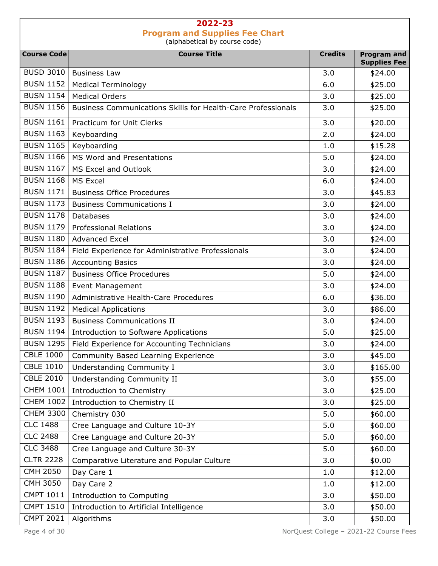| <b>Course Code</b> | <b>Course Title</b>                                                 | <b>Credits</b> | <b>Program and</b>             |
|--------------------|---------------------------------------------------------------------|----------------|--------------------------------|
| <b>BUSD 3010</b>   | <b>Business Law</b>                                                 | 3.0            | <b>Supplies Fee</b><br>\$24.00 |
| <b>BUSN 1152</b>   | <b>Medical Terminology</b>                                          | 6.0            | \$25.00                        |
| <b>BUSN 1154</b>   | <b>Medical Orders</b>                                               | 3.0            | \$25.00                        |
| <b>BUSN 1156</b>   | <b>Business Communications Skills for Health-Care Professionals</b> | 3.0            | \$25.00                        |
| <b>BUSN 1161</b>   | Practicum for Unit Clerks                                           | 3.0            | \$20.00                        |
| <b>BUSN 1163</b>   | Keyboarding                                                         | 2.0            | \$24.00                        |
| <b>BUSN 1165</b>   | Keyboarding                                                         | 1.0            | \$15.28                        |
| <b>BUSN 1166</b>   | MS Word and Presentations                                           | 5.0            | \$24.00                        |
| <b>BUSN 1167</b>   | MS Excel and Outlook                                                | 3.0            |                                |
| <b>BUSN 1168</b>   | MS Excel                                                            | 6.0            | \$24.00                        |
| <b>BUSN 1171</b>   | <b>Business Office Procedures</b>                                   |                | \$24.00                        |
|                    |                                                                     | 3.0            | \$45.83                        |
| <b>BUSN 1173</b>   | <b>Business Communications I</b>                                    | 3.0            | \$24.00                        |
| <b>BUSN 1178</b>   | Databases                                                           | 3.0            | \$24.00                        |
| <b>BUSN 1179</b>   | <b>Professional Relations</b>                                       | 3.0            | \$24.00                        |
| <b>BUSN 1180</b>   | <b>Advanced Excel</b>                                               | 3.0            | \$24.00                        |
| <b>BUSN 1184</b>   | Field Experience for Administrative Professionals                   | 3.0            | \$24.00                        |
| <b>BUSN 1186</b>   | <b>Accounting Basics</b>                                            | 3.0            | \$24.00                        |
| <b>BUSN 1187</b>   | <b>Business Office Procedures</b>                                   | 5.0            | \$24.00                        |
| <b>BUSN 1188</b>   | <b>Event Management</b>                                             | 3.0            | \$24.00                        |
| <b>BUSN 1190</b>   | Administrative Health-Care Procedures                               | 6.0            | \$36.00                        |
| <b>BUSN 1192</b>   | <b>Medical Applications</b>                                         | 3.0            | \$86.00                        |
| <b>BUSN 1193</b>   | <b>Business Communications II</b>                                   | 3.0            | \$24.00                        |
| <b>BUSN 1194</b>   | Introduction to Software Applications                               | 5.0            | \$25.00                        |
| <b>BUSN 1295</b>   | Field Experience for Accounting Technicians                         | 3.0            | \$24.00                        |
| <b>CBLE 1000</b>   | Community Based Learning Experience                                 | 3.0            | \$45.00                        |
| <b>CBLE 1010</b>   | Understanding Community I                                           | 3.0            | \$165.00                       |
| <b>CBLE 2010</b>   | Understanding Community II                                          | 3.0            | \$55.00                        |
| <b>CHEM 1001</b>   | Introduction to Chemistry                                           | 3.0            | \$25.00                        |
| <b>CHEM 1002</b>   | Introduction to Chemistry II                                        | 3.0            | \$25.00                        |
| <b>CHEM 3300</b>   | Chemistry 030                                                       | 5.0            | \$60.00                        |
| <b>CLC 1488</b>    | Cree Language and Culture 10-3Y                                     | 5.0            | \$60.00                        |
| <b>CLC 2488</b>    | Cree Language and Culture 20-3Y                                     | 5.0            | \$60.00                        |
| <b>CLC 3488</b>    | Cree Language and Culture 30-3Y                                     | 5.0            | \$60.00                        |
| <b>CLTR 2228</b>   | Comparative Literature and Popular Culture                          | 3.0            | \$0.00                         |
| <b>CMH 2050</b>    | Day Care 1                                                          | 1.0            | \$12.00                        |
| CMH 3050           | Day Care 2                                                          | 1.0            | \$12.00                        |
| <b>CMPT 1011</b>   | Introduction to Computing                                           | 3.0            | \$50.00                        |
| <b>CMPT 1510</b>   | Introduction to Artificial Intelligence                             | 3.0            | \$50.00                        |
| <b>CMPT 2021</b>   | Algorithms                                                          | 3.0            | \$50.00                        |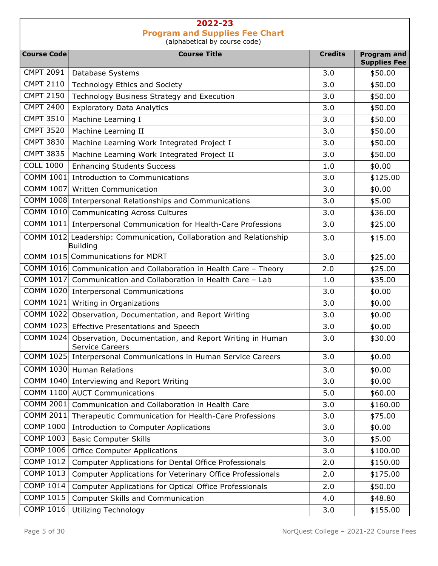| <b>Course Code</b> | <b>Course Title</b>                                                               | <b>Credits</b> | <b>Program and</b>             |
|--------------------|-----------------------------------------------------------------------------------|----------------|--------------------------------|
| <b>CMPT 2091</b>   | Database Systems                                                                  | 3.0            | <b>Supplies Fee</b><br>\$50.00 |
| <b>CMPT 2110</b>   | Technology Ethics and Society                                                     | 3.0            | \$50.00                        |
| <b>CMPT 2150</b>   | Technology Business Strategy and Execution                                        | 3.0            | \$50.00                        |
| <b>CMPT 2400</b>   | <b>Exploratory Data Analytics</b>                                                 | 3.0            | \$50.00                        |
| <b>CMPT 3510</b>   | Machine Learning I                                                                | 3.0            | \$50.00                        |
| <b>CMPT 3520</b>   | Machine Learning II                                                               | 3.0            | \$50.00                        |
| <b>CMPT 3830</b>   | Machine Learning Work Integrated Project I                                        | 3.0            | \$50.00                        |
| <b>CMPT 3835</b>   | Machine Learning Work Integrated Project II                                       | 3.0            | \$50.00                        |
| <b>COLL 1000</b>   | <b>Enhancing Students Success</b>                                                 | 1.0            | \$0.00                         |
|                    | COMM 1001 Introduction to Communications                                          | 3.0            | \$125.00                       |
|                    | COMM 1007 Written Communication                                                   | 3.0            | \$0.00                         |
|                    | COMM 1008 Interpersonal Relationships and Communications                          | 3.0            | \$5.00                         |
|                    | COMM 1010 Communicating Across Cultures                                           | 3.0            | \$36.00                        |
|                    | COMM 1011 Interpersonal Communication for Health-Care Professions                 | 3.0            | \$25.00                        |
|                    | COMM 1012 Leadership: Communication, Collaboration and Relationship               | 3.0            | \$15.00                        |
|                    | Building                                                                          |                |                                |
|                    | COMM 1015 Communications for MDRT                                                 | 3.0            | \$25.00                        |
|                    | COMM 1016 Communication and Collaboration in Health Care - Theory                 | 2.0            | \$25.00                        |
|                    | COMM 1017 Communication and Collaboration in Health Care - Lab                    | 1.0            | \$35.00                        |
|                    | COMM 1020 Interpersonal Communications                                            | 3.0            | \$0.00                         |
|                    | COMM 1021 Writing in Organizations                                                | 3.0            | \$0.00                         |
|                    | COMM 1022 Observation, Documentation, and Report Writing                          | 3.0            | \$0.00                         |
|                    | COMM 1023 Effective Presentations and Speech                                      | 3.0            | \$0.00                         |
| COMM 1024          | Observation, Documentation, and Report Writing in Human<br><b>Service Careers</b> | 3.0            | \$30.00                        |
|                    | COMM 1025 Interpersonal Communications in Human Service Careers                   | 3.0            | \$0.00                         |
|                    | COMM 1030 Human Relations                                                         | 3.0            | \$0.00                         |
|                    | COMM 1040 Interviewing and Report Writing                                         | 3.0            | \$0.00                         |
|                    | COMM 1100 AUCT Communications                                                     | 5.0            | \$60.00                        |
| COMM 2001          | Communication and Collaboration in Health Care                                    | 3.0            | \$160.00                       |
| COMM 2011          | Therapeutic Communication for Health-Care Professions                             | 3.0            | \$75.00                        |
| <b>COMP 1000</b>   | Introduction to Computer Applications                                             | 3.0            | \$0.00                         |
| <b>COMP 1003</b>   | <b>Basic Computer Skills</b>                                                      | 3.0            | \$5.00                         |
| <b>COMP 1006</b>   | <b>Office Computer Applications</b>                                               | 3.0            | \$100.00                       |
| <b>COMP 1012</b>   | Computer Applications for Dental Office Professionals                             | 2.0            | \$150.00                       |
| <b>COMP 1013</b>   | Computer Applications for Veterinary Office Professionals                         | 2.0            | \$175.00                       |
| <b>COMP 1014</b>   | Computer Applications for Optical Office Professionals                            | 2.0            | \$50.00                        |
| <b>COMP 1015</b>   | Computer Skills and Communication                                                 | 4.0            | \$48.80                        |
| <b>COMP 1016</b>   | <b>Utilizing Technology</b>                                                       | 3.0            | \$155.00                       |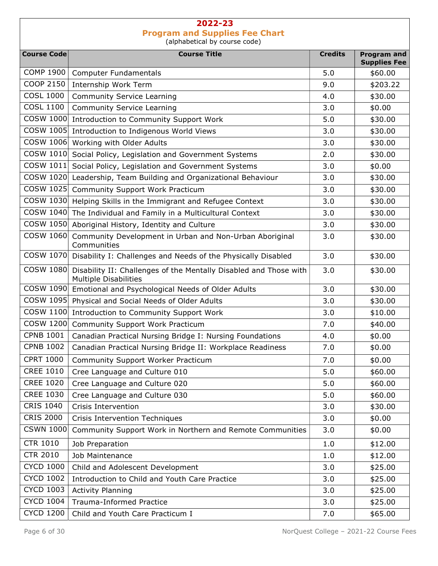| <b>Course Code</b> | <b>Course Title</b>                                                                               | <b>Credits</b> | <b>Program and</b>  |
|--------------------|---------------------------------------------------------------------------------------------------|----------------|---------------------|
|                    |                                                                                                   |                | <b>Supplies Fee</b> |
| <b>COMP 1900</b>   | <b>Computer Fundamentals</b>                                                                      | 5.0            | \$60.00             |
| <b>COOP 2150</b>   | Internship Work Term                                                                              | 9.0            | \$203.22            |
| <b>COSL 1000</b>   | <b>Community Service Learning</b>                                                                 | 4.0            | \$30.00             |
| <b>COSL 1100</b>   | <b>Community Service Learning</b>                                                                 | 3.0            | \$0.00              |
| COSW 1000          | Introduction to Community Support Work                                                            | 5.0            | \$30.00             |
| COSW 1005          | Introduction to Indigenous World Views                                                            | 3.0            | \$30.00             |
|                    | COSW 1006 Working with Older Adults                                                               | 3.0            | \$30.00             |
|                    | COSW 1010 Social Policy, Legislation and Government Systems                                       | 2.0            | \$30.00             |
| COSW 1011          | Social Policy, Legislation and Government Systems                                                 | 3.0            | \$0.00              |
|                    | COSW 1020 Leadership, Team Building and Organizational Behaviour                                  | 3.0            | \$30.00             |
| COSW 1025          | <b>Community Support Work Practicum</b>                                                           | 3.0            | \$30.00             |
|                    | COSW 1030 Helping Skills in the Immigrant and Refugee Context                                     | 3.0            | \$30.00             |
| COSW 1040          | The Individual and Family in a Multicultural Context                                              | 3.0            | \$30.00             |
| COSW 1050          | Aboriginal History, Identity and Culture                                                          | 3.0            | \$30.00             |
| COSW 1060          | Community Development in Urban and Non-Urban Aboriginal<br>Communities                            | 3.0            | \$30.00             |
|                    | COSW 1070 Disability I: Challenges and Needs of the Physically Disabled                           | 3.0            | \$30.00             |
| COSW 1080          | Disability II: Challenges of the Mentally Disabled and Those with<br><b>Multiple Disabilities</b> | 3.0            | \$30.00             |
|                    | COSW 1090 Emotional and Psychological Needs of Older Adults                                       | 3.0            | \$30.00             |
|                    | COSW 1095 Physical and Social Needs of Older Adults                                               | 3.0            | \$30.00             |
| COSW 1100          | Introduction to Community Support Work                                                            | 3.0            | \$10.00             |
| COSW 1200          | Community Support Work Practicum                                                                  | 7.0            | \$40.00             |
| <b>CPNB 1001</b>   | Canadian Practical Nursing Bridge I: Nursing Foundations                                          | 4.0            | \$0.00              |
| <b>CPNB 1002</b>   | Canadian Practical Nursing Bridge II: Workplace Readiness                                         | 7.0            | \$0.00              |
| <b>CPRT 1000</b>   | <b>Community Support Worker Practicum</b>                                                         | 7.0            | \$0.00              |
| <b>CREE 1010</b>   | Cree Language and Culture 010                                                                     | 5.0            | \$60.00             |
| <b>CREE 1020</b>   | Cree Language and Culture 020                                                                     | 5.0            | \$60.00             |
| <b>CREE 1030</b>   | Cree Language and Culture 030                                                                     | 5.0            | \$60.00             |
| <b>CRIS 1040</b>   | Crisis Intervention                                                                               | 3.0            | \$30.00             |
| <b>CRIS 2000</b>   | Crisis Intervention Techniques                                                                    | 3.0            | \$0.00              |
| <b>CSWN 1000</b>   | Community Support Work in Northern and Remote Communities                                         | 3.0            | \$0.00              |
| <b>CTR 1010</b>    | Job Preparation                                                                                   | 1.0            | \$12.00             |
| <b>CTR 2010</b>    | Job Maintenance                                                                                   | 1.0            | \$12.00             |
| <b>CYCD 1000</b>   | Child and Adolescent Development                                                                  | 3.0            | \$25.00             |
| <b>CYCD 1002</b>   | Introduction to Child and Youth Care Practice                                                     | 3.0            | \$25.00             |
| <b>CYCD 1003</b>   | <b>Activity Planning</b>                                                                          | 3.0            | \$25.00             |
| <b>CYCD 1004</b>   | Trauma-Informed Practice                                                                          | 3.0            | \$25.00             |
| <b>CYCD 1200</b>   | Child and Youth Care Practicum I                                                                  | 7.0            | \$65.00             |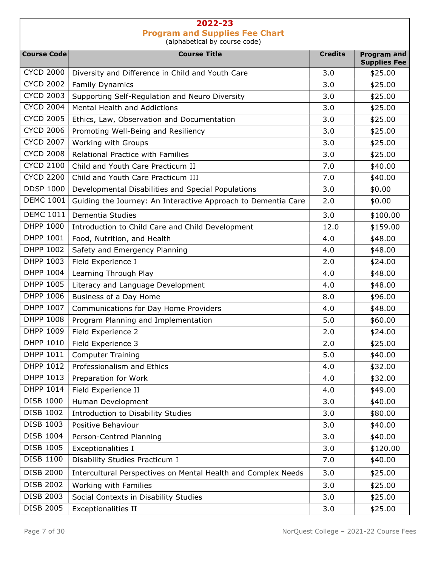Course Code **Course Course Title** Course Title **Course Course Course Account Course Course Account** Credits Program and Supplies Fee CYCD 2000 Diversity and Difference in Child and Youth Care  $\vert$  3.0  $\vert$  \$25.00  $CYCD 2002$  Family Dynamics  $\begin{array}{|c|c|c|c|c|c|} \hline & 3.0 & & \Leftrightarrow 25.00 \ \hline \end{array}$ CYCD 2003 Supporting Self-Regulation and Neuro Diversity  $\begin{array}{|l} \hline \end{array}$  3.0  $\begin{array}{|l} \hline \end{array}$  \$25.00 CYCD 2004 | Mental Health and Addictions  $\begin{array}{|c|c|c|c|c|c|c|c|c|} \hline & 3.0 & & $25.00 & \\ \hline \end{array}$ CYCD 2005 Ethics, Law, Observation and Documentation  $\vert$  3.0  $\vert$  \$25.00 CYCD 2006 Promoting Well-Being and Resiliency  $\begin{array}{|l} \hline \end{array}$  3.0  $\begin{array}{|l} \hline \end{array}$  \$25.00  $CYCD 2007$  Working with Groups  $\begin{array}{|c|c|c|c|c|c|c|c|c|} \hline & 3.0 & & $25.00 & \hline \end{array}$ CYCD 2008 Relational Practice with Families 3.0 3.0 \$25.00  $CYCD 2100$  Child and Youth Care Practicum II 7.0 7.0 \$40.00 CYCD 2200 Child and Youth Care Practicum III 7.0 \$40.00 DDSP 1000 Developmental Disabilities and Special Populations 1 3.0 1 \$0.00 DEMC 1001 Guiding the Journey: An Interactive Approach to Dementia Care  $\vert$  2.0  $\vert$  \$0.00 DEMC 1011 Dementia Studies 3.0 \$100.00 DHPP 1000 Introduction to Child Care and Child Development 12.0 | \$159.00 DHPP 1001 | Food, Nutrition, and Health  $\begin{array}{|c|c|c|c|c|c|c|c|c|} \hline &4.0 & &348.00\ \hline \end{array}$ DHPP 1002 Safety and Emergency Planning  $\vert$  4.0  $\vert$  \$48.00 DHPP 1003 Field Experience I 2.0  $\parallel$  2.0 \$24.00  $DHPP$  1004 Learning Through Play  $\begin{array}{|c|c|c|c|c|c|c|c|c|} \hline & 4.0 & \& 48.00 & \end{array}$ DHPP 1005 Literacy and Language Development  $\vert$  4.0  $\vert$  \$48.00 DHPP 1006 Business of a Day Home 8.0 \$96.00 DHPP 1007 Communications for Day Home Providers 1980 1000 1000 1000 4.0 \$48.00 DHPP 1008 Program Planning and Implementation 1997 1008 | S.0 \$60.00 DHPP 1009 Field Experience 2 2.0 324.00 DHPP 1010 Field Experience 3 2.0 325.00 DHPP 1011 Computer Training 5.0 \$40.00 DHPP 1012 Professionalism and Ethics **Accord 2012** 1012 12:00 **\$32.00** DHPP 1013 Preparation for Work 1.1 and 1.0 and 1.0 and 1.0 and 1.0 and 1.0 and 1.0 and 1.0 and 1.0 and 1.0 and 1.0 and 1.0 and 1.1 and 1.1 and 1.1 and 1.1 and 1.1 and 1.1 and 1.1 and 1.1 and 1.1 and 1.1 and 1.1 and 1.1 and DHPP 1014 Field Experience II 4.0 \$49.00 DISB 1000 | Human Development 1 | 3.0 | \$40.00 DISB 1002 | Introduction to Disability Studies 1002 | 3.0 \$80.00 DISB 1003 | Positive Behaviour 3.0 | \$40.00 DISB 1004 Person-Centred Planning 2.0 3.0 \$40.00 DISB 1005 | Exceptionalities I 3.0 | \$120.00 DISB 1100 | Disability Studies Practicum I 7.0 | \$40.00 DISB 2000 | Intercultural Perspectives on Mental Health and Complex Needs | 3.0 | \$25.00 DISB 2002 | Working with Families 3.0 | \$25.00 DISB 2003 Social Contexts in Disability Studies 3.0 3.0 \$25.00 DISB 2005 Exceptionalities II 3.0 \$25.00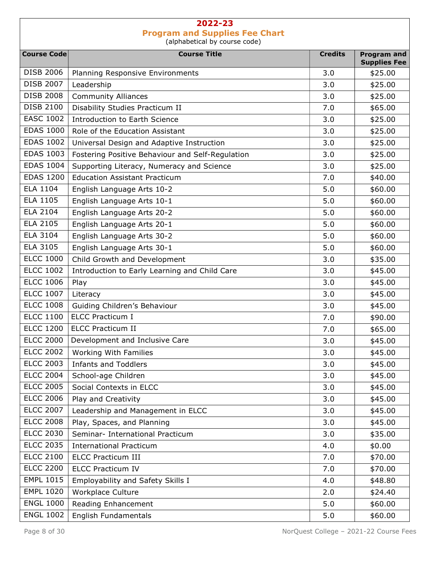| <b>Course Code</b> | <b>Course Title</b>                              | <b>Credits</b> | <b>Program and</b>  |
|--------------------|--------------------------------------------------|----------------|---------------------|
|                    |                                                  |                | <b>Supplies Fee</b> |
| <b>DISB 2006</b>   | Planning Responsive Environments                 | 3.0            | \$25.00             |
| <b>DISB 2007</b>   | Leadership                                       | 3.0            | \$25.00             |
| <b>DISB 2008</b>   | <b>Community Alliances</b>                       | 3.0            | \$25.00             |
| <b>DISB 2100</b>   | Disability Studies Practicum II                  | 7.0            | \$65.00             |
| <b>EASC 1002</b>   | <b>Introduction to Earth Science</b>             | 3.0            | \$25.00             |
| <b>EDAS 1000</b>   | Role of the Education Assistant                  | 3.0            | \$25.00             |
| <b>EDAS 1002</b>   | Universal Design and Adaptive Instruction        | 3.0            | \$25.00             |
| <b>EDAS 1003</b>   | Fostering Positive Behaviour and Self-Regulation | 3.0            | \$25.00             |
| <b>EDAS 1004</b>   | Supporting Literacy, Numeracy and Science        | 3.0            | \$25.00             |
| <b>EDAS 1200</b>   | <b>Education Assistant Practicum</b>             | 7.0            | \$40.00             |
| <b>ELA 1104</b>    | English Language Arts 10-2                       | 5.0            | \$60.00             |
| <b>ELA 1105</b>    | English Language Arts 10-1                       | 5.0            | \$60.00             |
| <b>ELA 2104</b>    | English Language Arts 20-2                       | 5.0            | \$60.00             |
| <b>ELA 2105</b>    | English Language Arts 20-1                       | 5.0            | \$60.00             |
| <b>ELA 3104</b>    | English Language Arts 30-2                       | 5.0            | \$60.00             |
| <b>ELA 3105</b>    | English Language Arts 30-1                       | 5.0            | \$60.00             |
| <b>ELCC 1000</b>   | Child Growth and Development                     | 3.0            | \$35.00             |
| <b>ELCC 1002</b>   | Introduction to Early Learning and Child Care    | 3.0            | \$45.00             |
| <b>ELCC 1006</b>   | Play                                             | 3.0            | \$45.00             |
| <b>ELCC 1007</b>   | Literacy                                         | 3.0            | \$45.00             |
| <b>ELCC 1008</b>   | Guiding Children's Behaviour                     | 3.0            | \$45.00             |
| <b>ELCC 1100</b>   | <b>ELCC Practicum I</b>                          | 7.0            | \$90.00             |
| <b>ELCC 1200</b>   | <b>ELCC Practicum II</b>                         | 7.0            | \$65.00             |
| <b>ELCC 2000</b>   | Development and Inclusive Care                   | 3.0            | \$45.00             |
| <b>ELCC 2002</b>   | Working With Families                            | 3.0            | \$45.00             |
| <b>ELCC 2003</b>   | <b>Infants and Toddlers</b>                      | 3.0            | \$45.00             |
| <b>ELCC 2004</b>   | School-age Children                              | 3.0            | \$45.00             |
| <b>ELCC 2005</b>   | Social Contexts in ELCC                          | 3.0            | \$45.00             |
| <b>ELCC 2006</b>   | Play and Creativity                              | 3.0            | \$45.00             |
| <b>ELCC 2007</b>   | Leadership and Management in ELCC                | 3.0            | \$45.00             |
| <b>ELCC 2008</b>   | Play, Spaces, and Planning                       | 3.0            | \$45.00             |
| <b>ELCC 2030</b>   | Seminar- International Practicum                 | 3.0            | \$35.00             |
| <b>ELCC 2035</b>   | <b>International Practicum</b>                   | 4.0            | \$0.00              |
| <b>ELCC 2100</b>   | <b>ELCC Practicum III</b>                        | 7.0            | \$70.00             |
| <b>ELCC 2200</b>   | <b>ELCC Practicum IV</b>                         | 7.0            | \$70.00             |
| <b>EMPL 1015</b>   | Employability and Safety Skills I                | 4.0            | \$48.80             |
| <b>EMPL 1020</b>   | Workplace Culture                                | 2.0            | \$24.40             |
| <b>ENGL 1000</b>   | Reading Enhancement                              | 5.0            | \$60.00             |
| <b>ENGL 1002</b>   | English Fundamentals                             | 5.0            | \$60.00             |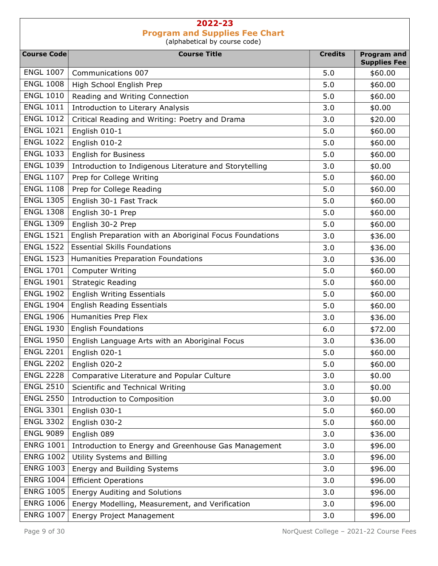| <b>Course Code</b> | <b>Course Title</b>                                      | <b>Credits</b> | <b>Program and</b>  |
|--------------------|----------------------------------------------------------|----------------|---------------------|
|                    |                                                          |                | <b>Supplies Fee</b> |
| <b>ENGL 1007</b>   | Communications 007                                       | 5.0            | \$60.00             |
| <b>ENGL 1008</b>   | High School English Prep                                 | 5.0            | \$60.00             |
| <b>ENGL 1010</b>   | Reading and Writing Connection                           | 5.0            | \$60.00             |
| <b>ENGL 1011</b>   | Introduction to Literary Analysis                        | 3.0            | \$0.00              |
| <b>ENGL 1012</b>   | Critical Reading and Writing: Poetry and Drama           | 3.0            | \$20.00             |
| <b>ENGL 1021</b>   | English 010-1                                            | 5.0            | \$60.00             |
| <b>ENGL 1022</b>   | English 010-2                                            | 5.0            | \$60.00             |
| <b>ENGL 1033</b>   | English for Business                                     | 5.0            | \$60.00             |
| <b>ENGL 1039</b>   | Introduction to Indigenous Literature and Storytelling   | 3.0            | \$0.00              |
| <b>ENGL 1107</b>   | Prep for College Writing                                 | 5.0            | \$60.00             |
| <b>ENGL 1108</b>   | Prep for College Reading                                 | 5.0            | \$60.00             |
| <b>ENGL 1305</b>   | English 30-1 Fast Track                                  | 5.0            | \$60.00             |
| <b>ENGL 1308</b>   | English 30-1 Prep                                        | 5.0            | \$60.00             |
| <b>ENGL 1309</b>   | English 30-2 Prep                                        | 5.0            | \$60.00             |
| <b>ENGL 1521</b>   | English Preparation with an Aboriginal Focus Foundations | 3.0            | \$36.00             |
| <b>ENGL 1522</b>   | <b>Essential Skills Foundations</b>                      | 3.0            | \$36.00             |
| <b>ENGL 1523</b>   | Humanities Preparation Foundations                       | 3.0            | \$36.00             |
| <b>ENGL 1701</b>   | <b>Computer Writing</b>                                  | 5.0            | \$60.00             |
| <b>ENGL 1901</b>   | <b>Strategic Reading</b>                                 | 5.0            | \$60.00             |
| <b>ENGL 1902</b>   | <b>English Writing Essentials</b>                        | 5.0            | \$60.00             |
| <b>ENGL 1904</b>   | <b>English Reading Essentials</b>                        | 5.0            | \$60.00             |
| <b>ENGL 1906</b>   | Humanities Prep Flex                                     | 3.0            | \$36.00             |
| <b>ENGL 1930</b>   | <b>English Foundations</b>                               | 6.0            | \$72.00             |
| <b>ENGL 1950</b>   | English Language Arts with an Aboriginal Focus           | 3.0            | \$36.00             |
| <b>ENGL 2201</b>   | English 020-1                                            | 5.0            | \$60.00             |
| <b>ENGL 2202</b>   | English 020-2                                            | 5.0            | \$60.00             |
| <b>ENGL 2228</b>   | Comparative Literature and Popular Culture               | 3.0            | \$0.00              |
| <b>ENGL 2510</b>   | Scientific and Technical Writing                         | 3.0            | \$0.00              |
| <b>ENGL 2550</b>   | Introduction to Composition                              | 3.0            | \$0.00              |
| <b>ENGL 3301</b>   | English 030-1                                            | 5.0            | \$60.00             |
| <b>ENGL 3302</b>   | English 030-2                                            | 5.0            | \$60.00             |
| <b>ENGL 9089</b>   | English 089                                              | 3.0            | \$36.00             |
| <b>ENRG 1001</b>   | Introduction to Energy and Greenhouse Gas Management     | 3.0            | \$96.00             |
| <b>ENRG 1002</b>   | Utility Systems and Billing                              | 3.0            | \$96.00             |
| <b>ENRG 1003</b>   | Energy and Building Systems                              | 3.0            | \$96.00             |
| <b>ENRG 1004</b>   | <b>Efficient Operations</b>                              | 3.0            | \$96.00             |
| <b>ENRG 1005</b>   | <b>Energy Auditing and Solutions</b>                     | 3.0            | \$96.00             |
| <b>ENRG 1006</b>   | Energy Modelling, Measurement, and Verification          | 3.0            | \$96.00             |
| <b>ENRG 1007</b>   | Energy Project Management                                | 3.0            | \$96.00             |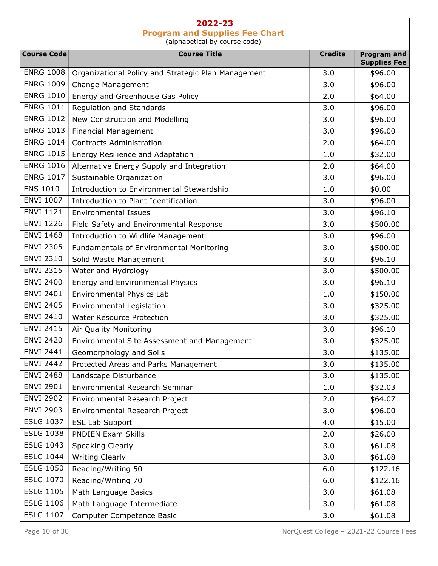Course Code **Course Course Title** Course Title **Course Course Course Course Course Course** Credits Program and Supplies Fee ENRG 1008 | Organizational Policy and Strategic Plan Management | 3.0 | \$96.00 ENRG 1009 | Change Management 1996.00 | \$96.00 ENRG  $1010$  Energy and Greenhouse Gas Policy 2.0  $\vert$  2.0  $\vert$  \$64.00 ENRG 1011 Regulation and Standards  $\begin{array}{|c|c|c|c|c|c|c|c|c|} \hline \text{S.0} & \text{ $>$96.00$} \hline \end{array}$ ENRG  $1012$  New Construction and Modelling  $\begin{array}{|l|c|c|c|c|c|c|c|c|} \hline \text{S.0} & & \text{\$96.00}\ \hline \end{array}$ ENRG 1013 Financial Management 3.0 \$96.00 ENRG 1014 Contracts Administration 1 2.0 \$64.00 ENRG 1015 Energy Resilience and Adaptation 1.0 1.0 \$32.00 ENRG 1016 Alternative Energy Supply and Integration 1 1 2.0 4 \$64.00 ENRG 1017 Sustainable Organization 1 3.0 \$96.00 ENS 1010 | Introduction to Environmental Stewardship | 1.0 | \$0.00 ENVI 1007 | Introduction to Plant Identification 1000 | 3.0 | \$96.00 ENVI 1121 Environmental Issues 3.0 \$96.10 ENVI 1226 | Field Safety and Environmental Response | 3.0 | \$500.00 ENVI 1468 Introduction to Wildlife Management 3.0 \$96.00 ENVI 2305 | Fundamentals of Environmental Monitoring | 3.0 | \$500.00 ENVI 2310 Solid Waste Management 3.0 \$96.10 ENVI 2315 | Water and Hydrology 3.0 | \$500.00 ENVI 2400 Energy and Environmental Physics 1 1 3.0 \$96.10 ENVI 2401 Environmental Physics Lab 1.0 \$150.00 ENVI 2405 Environmental Legislation 1 and 1 and 1 and 1 and 1 and 1 and 1 and 1 and 1 and 1 and 1 and 1 and 1 and 1 and 1 and 1 and 1 and 1 and 1 and 1 and 1 and 1 and 1 and 1 and 1 and 1 and 1 and 1 and 1 and 1 and 1 and ENVI 2410 Water Resource Protection 1 1 2.0 \$325.00 ENVI 2415 | Air Quality Monitoring  $\begin{array}{|c|c|c|c|c|c|c|c|c|} \hline \end{array}$  3.0  $\begin{array}{|c|c|c|c|c|c|c|c|c|} \hline \end{array}$  \$96.10 ENVI 2420 | Environmental Site Assessment and Management | 3.0 | \$325.00 ENVI 2441 Geomorphology and Soils  $\begin{array}{|c|c|c|c|c|c|c|c|c|} \hline \end{array}$  3.0  $\begin{array}{|c|c|c|c|c|c|c|c|c|} \hline \end{array}$  \$135.00 ENVI 2442 | Protected Areas and Parks Management 1997 12:00 | \$135.00 ENVI 2488 Landscape Disturbance 3.0 \$135.00 ENVI 2901 | Environmental Research Seminar 1.0 | \$32.03 ENVI 2902 Environmental Research Project 2.0 564.07 ENVI 2903 | Environmental Research Project | 3.0 | \$96.00  $ESLG$  1037 ESL Lab Support  $\begin{array}{|c|c|c|c|c|c|c|c|c|} \hline &4.0 & &515.00 & \hline \end{array}$ ESLG 1038 PNDIEN Exam Skills 2.0 526.00 ESLG 1043 Speaking Clearly 3.0 \$61.08 ESLG 1044 Writing Clearly 3.0 \$61.08 ESLG 1050 Reading/Writing 50 6.0 6.0 \$122.16 ESLG 1070 Reading/Writing 70 6.0 5122.16 ESLG 1105 | Math Language Basics  $\begin{array}{|c|c|c|c|c|c|c|c|c|} \hline \end{array}$  3.0  $\begin{array}{|c|c|c|c|c|c|c|c|c|} \hline \end{array}$  \$61.08 ESLG 1106 | Math Language Intermediate  $\vert$  3.0 | \$61.08 ESLG 1107 Computer Competence Basic 1107 | 3.0 \$61.08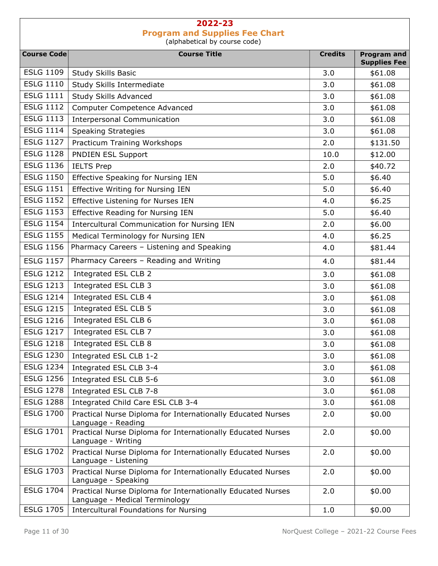| <b>Course Code</b> | <b>Course Title</b>                                                                           | <b>Credits</b> | <b>Program and</b>             |
|--------------------|-----------------------------------------------------------------------------------------------|----------------|--------------------------------|
| <b>ESLG 1109</b>   | Study Skills Basic                                                                            | 3.0            | <b>Supplies Fee</b><br>\$61.08 |
| <b>ESLG 1110</b>   | Study Skills Intermediate                                                                     | 3.0            | \$61.08                        |
| <b>ESLG 1111</b>   | <b>Study Skills Advanced</b>                                                                  | 3.0            | \$61.08                        |
| <b>ESLG 1112</b>   | Computer Competence Advanced                                                                  | 3.0            | \$61.08                        |
| <b>ESLG 1113</b>   | <b>Interpersonal Communication</b>                                                            | 3.0            | \$61.08                        |
| <b>ESLG 1114</b>   | <b>Speaking Strategies</b>                                                                    | 3.0            | \$61.08                        |
| <b>ESLG 1127</b>   | Practicum Training Workshops                                                                  | 2.0            | \$131.50                       |
| <b>ESLG 1128</b>   | <b>PNDIEN ESL Support</b>                                                                     | 10.0           | \$12.00                        |
| <b>ESLG 1136</b>   | <b>IELTS Prep</b>                                                                             | 2.0            | \$40.72                        |
| <b>ESLG 1150</b>   | <b>Effective Speaking for Nursing IEN</b>                                                     | 5.0            | \$6.40                         |
| <b>ESLG 1151</b>   | Effective Writing for Nursing IEN                                                             | 5.0            | \$6.40                         |
| <b>ESLG 1152</b>   | Effective Listening for Nurses IEN                                                            | 4.0            | \$6.25                         |
| <b>ESLG 1153</b>   | <b>Effective Reading for Nursing IEN</b>                                                      | 5.0            | \$6.40                         |
| <b>ESLG 1154</b>   | <b>Intercultural Communication for Nursing IEN</b>                                            | 2.0            | \$6.00                         |
| <b>ESLG 1155</b>   | Medical Terminology for Nursing IEN                                                           | 4.0            | \$6.25                         |
| <b>ESLG 1156</b>   | Pharmacy Careers - Listening and Speaking                                                     | 4.0            | \$81.44                        |
| <b>ESLG 1157</b>   | Pharmacy Careers - Reading and Writing                                                        | 4.0            | \$81.44                        |
| <b>ESLG 1212</b>   | Integrated ESL CLB 2                                                                          | 3.0            | \$61.08                        |
| <b>ESLG 1213</b>   | Integrated ESL CLB 3                                                                          | 3.0            | \$61.08                        |
| <b>ESLG 1214</b>   | Integrated ESL CLB 4                                                                          | 3.0            | \$61.08                        |
| <b>ESLG 1215</b>   | Integrated ESL CLB 5                                                                          | 3.0            | \$61.08                        |
| <b>ESLG 1216</b>   | Integrated ESL CLB 6                                                                          | 3.0            | \$61.08                        |
| <b>ESLG 1217</b>   | Integrated ESL CLB 7                                                                          | 3.0            | \$61.08                        |
| <b>ESLG 1218</b>   | Integrated ESL CLB 8                                                                          | 3.0            | \$61.08                        |
| <b>ESLG 1230</b>   | Integrated ESL CLB 1-2                                                                        | 3.0            | \$61.08                        |
| ESLG 1234          | Integrated ESL CLB 3-4                                                                        | 3.0            | \$61.08                        |
| <b>ESLG 1256</b>   | Integrated ESL CLB 5-6                                                                        | 3.0            | \$61.08                        |
| <b>ESLG 1278</b>   | Integrated ESL CLB 7-8                                                                        | 3.0            | \$61.08                        |
| <b>ESLG 1288</b>   | Integrated Child Care ESL CLB 3-4                                                             | 3.0            | \$61.08                        |
| <b>ESLG 1700</b>   | Practical Nurse Diploma for Internationally Educated Nurses<br>Language - Reading             | 2.0            | \$0.00                         |
| <b>ESLG 1701</b>   | Practical Nurse Diploma for Internationally Educated Nurses<br>Language - Writing             | 2.0            | \$0.00                         |
| <b>ESLG 1702</b>   | Practical Nurse Diploma for Internationally Educated Nurses<br>Language - Listening           | 2.0            | \$0.00                         |
| <b>ESLG 1703</b>   | Practical Nurse Diploma for Internationally Educated Nurses<br>Language - Speaking            | 2.0            | \$0.00                         |
| <b>ESLG 1704</b>   | Practical Nurse Diploma for Internationally Educated Nurses<br>Language - Medical Terminology | 2.0            | \$0.00                         |
| <b>ESLG 1705</b>   | <b>Intercultural Foundations for Nursing</b>                                                  | 1.0            | \$0.00                         |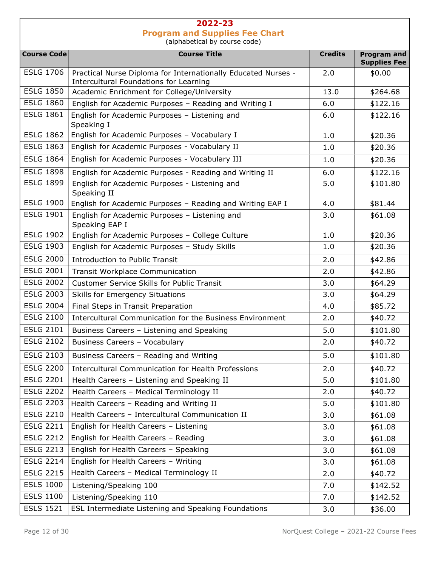| <b>Course Code</b> | <b>Course Title</b>                                                                                     | <b>Credits</b> | <b>Program and</b><br><b>Supplies Fee</b> |
|--------------------|---------------------------------------------------------------------------------------------------------|----------------|-------------------------------------------|
| <b>ESLG 1706</b>   | Practical Nurse Diploma for Internationally Educated Nurses -<br>Intercultural Foundations for Learning | 2.0            | \$0.00                                    |
| <b>ESLG 1850</b>   | Academic Enrichment for College/University                                                              | 13.0           | \$264.68                                  |
| <b>ESLG 1860</b>   | English for Academic Purposes - Reading and Writing I                                                   | 6.0            | \$122.16                                  |
| <b>ESLG 1861</b>   | English for Academic Purposes - Listening and<br>Speaking I                                             | 6.0            | \$122.16                                  |
| <b>ESLG 1862</b>   | English for Academic Purposes - Vocabulary I                                                            | 1.0            | \$20.36                                   |
| <b>ESLG 1863</b>   | English for Academic Purposes - Vocabulary II                                                           | 1.0            | \$20.36                                   |
| <b>ESLG 1864</b>   | English for Academic Purposes - Vocabulary III                                                          | 1.0            | \$20.36                                   |
| <b>ESLG 1898</b>   | English for Academic Purposes - Reading and Writing II                                                  | 6.0            | \$122.16                                  |
| <b>ESLG 1899</b>   | English for Academic Purposes - Listening and<br>Speaking II                                            | 5.0            | \$101.80                                  |
| <b>ESLG 1900</b>   | English for Academic Purposes - Reading and Writing EAP I                                               | 4.0            | \$81.44                                   |
| <b>ESLG 1901</b>   | English for Academic Purposes - Listening and<br>Speaking EAP I                                         | 3.0            | \$61.08                                   |
| <b>ESLG 1902</b>   | English for Academic Purposes - College Culture                                                         | 1.0            | \$20.36                                   |
| <b>ESLG 1903</b>   | English for Academic Purposes - Study Skills                                                            | 1.0            | \$20.36                                   |
| <b>ESLG 2000</b>   | <b>Introduction to Public Transit</b>                                                                   | 2.0            | \$42.86                                   |
| <b>ESLG 2001</b>   | <b>Transit Workplace Communication</b>                                                                  | 2.0            | \$42.86                                   |
| <b>ESLG 2002</b>   | <b>Customer Service Skills for Public Transit</b>                                                       | 3.0            | \$64.29                                   |
| <b>ESLG 2003</b>   | <b>Skills for Emergency Situations</b>                                                                  | 3.0            | \$64.29                                   |
| <b>ESLG 2004</b>   | Final Steps in Transit Preparation                                                                      | 4.0            | \$85.72                                   |
| <b>ESLG 2100</b>   | Intercultural Communication for the Business Environment                                                | 2.0            | \$40.72                                   |
| <b>ESLG 2101</b>   | Business Careers - Listening and Speaking                                                               | 5.0            | \$101.80                                  |
| <b>ESLG 2102</b>   | Business Careers - Vocabulary                                                                           | 2.0            | \$40.72                                   |
| <b>ESLG 2103</b>   | Business Careers - Reading and Writing                                                                  | 5.0            | \$101.80                                  |
| ESLG 2200          | Intercultural Communication for Health Professions                                                      | 2.0            | \$40.72                                   |
| <b>ESLG 2201</b>   | Health Careers - Listening and Speaking II                                                              | 5.0            | \$101.80                                  |
| <b>ESLG 2202</b>   | Health Careers - Medical Terminology II                                                                 | 2.0            | \$40.72                                   |
| <b>ESLG 2203</b>   | Health Careers - Reading and Writing II                                                                 | 5.0            | \$101.80                                  |
| <b>ESLG 2210</b>   | Health Careers - Intercultural Communication II                                                         | 3.0            | \$61.08                                   |
| <b>ESLG 2211</b>   | English for Health Careers - Listening                                                                  | 3.0            | \$61.08                                   |
| <b>ESLG 2212</b>   | English for Health Careers - Reading                                                                    | 3.0            | \$61.08                                   |
| <b>ESLG 2213</b>   | English for Health Careers - Speaking                                                                   | 3.0            | \$61.08                                   |
| <b>ESLG 2214</b>   | English for Health Careers - Writing                                                                    | 3.0            | \$61.08                                   |
| <b>ESLG 2215</b>   | Health Careers - Medical Terminology II                                                                 | 2.0            | \$40.72                                   |
| <b>ESLS 1000</b>   | Listening/Speaking 100                                                                                  | 7.0            | \$142.52                                  |
| <b>ESLS 1100</b>   | Listening/Speaking 110                                                                                  | 7.0            | \$142.52                                  |
| <b>ESLS 1521</b>   | ESL Intermediate Listening and Speaking Foundations                                                     | 3.0            | \$36.00                                   |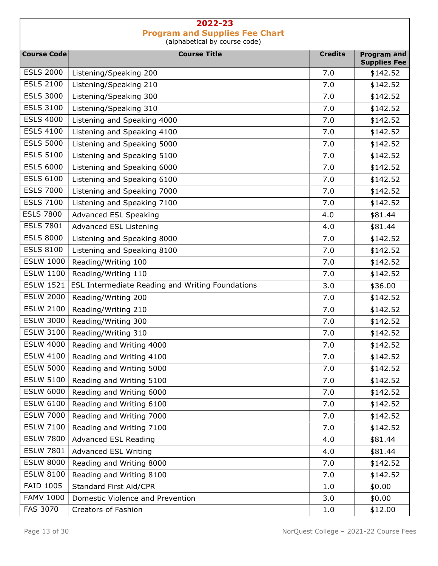| <b>Course Code</b> | <b>Course Title</b>                              | <b>Credits</b> | <b>Program and</b>   |
|--------------------|--------------------------------------------------|----------------|----------------------|
| <b>ESLS 2000</b>   |                                                  | 7.0            | <b>Supplies Fee</b>  |
| <b>ESLS 2100</b>   | Listening/Speaking 200<br>Listening/Speaking 210 | 7.0            | \$142.52<br>\$142.52 |
| <b>ESLS 3000</b>   | Listening/Speaking 300                           | 7.0            | \$142.52             |
| <b>ESLS 3100</b>   | Listening/Speaking 310                           | 7.0            | \$142.52             |
| <b>ESLS 4000</b>   | Listening and Speaking 4000                      | 7.0            |                      |
| <b>ESLS 4100</b>   | Listening and Speaking 4100                      | 7.0            | \$142.52             |
| <b>ESLS 5000</b>   | Listening and Speaking 5000                      |                | \$142.52             |
| <b>ESLS 5100</b>   |                                                  | 7.0            | \$142.52             |
| <b>ESLS 6000</b>   | Listening and Speaking 5100                      | 7.0            | \$142.52             |
| <b>ESLS 6100</b>   | Listening and Speaking 6000                      | 7.0            | \$142.52             |
| <b>ESLS 7000</b>   | Listening and Speaking 6100                      | 7.0            | \$142.52             |
| <b>ESLS 7100</b>   | Listening and Speaking 7000                      | 7.0            | \$142.52             |
| <b>ESLS 7800</b>   | Listening and Speaking 7100                      | 7.0            | \$142.52             |
| <b>ESLS 7801</b>   | Advanced ESL Speaking                            | 4.0            | \$81.44              |
| <b>ESLS 8000</b>   | Advanced ESL Listening                           | 4.0            | \$81.44              |
|                    | Listening and Speaking 8000                      | 7.0            | \$142.52             |
| <b>ESLS 8100</b>   | Listening and Speaking 8100                      | 7.0            | \$142.52             |
| <b>ESLW 1000</b>   | Reading/Writing 100                              | 7.0            | \$142.52             |
| <b>ESLW 1100</b>   | Reading/Writing 110                              | 7.0            | \$142.52             |
| <b>ESLW 1521</b>   | ESL Intermediate Reading and Writing Foundations | 3.0            | \$36.00              |
| <b>ESLW 2000</b>   | Reading/Writing 200                              | 7.0            | \$142.52             |
| <b>ESLW 2100</b>   | Reading/Writing 210                              | 7.0            | \$142.52             |
| <b>ESLW 3000</b>   | Reading/Writing 300                              | 7.0            | \$142.52             |
| <b>ESLW 3100</b>   | Reading/Writing 310                              | 7.0            | \$142.52             |
| <b>ESLW 4000</b>   | Reading and Writing 4000                         | 7.0            | \$142.52             |
| <b>ESLW 4100</b>   | Reading and Writing 4100                         | 7.0            | \$142.52             |
| <b>ESLW 5000</b>   | Reading and Writing 5000                         | 7.0            | \$142.52             |
| <b>ESLW 5100</b>   | Reading and Writing 5100                         | 7.0            | \$142.52             |
| <b>ESLW 6000</b>   | Reading and Writing 6000                         | 7.0            | \$142.52             |
| <b>ESLW 6100</b>   | Reading and Writing 6100                         | 7.0            | \$142.52             |
| <b>ESLW 7000</b>   | Reading and Writing 7000                         | 7.0            | \$142.52             |
| <b>ESLW 7100</b>   | Reading and Writing 7100                         | 7.0            | \$142.52             |
| <b>ESLW 7800</b>   | Advanced ESL Reading                             | 4.0            | \$81.44              |
| <b>ESLW 7801</b>   | Advanced ESL Writing                             | 4.0            | \$81.44              |
| <b>ESLW 8000</b>   | Reading and Writing 8000                         | 7.0            | \$142.52             |
| <b>ESLW 8100</b>   | Reading and Writing 8100                         | 7.0            | \$142.52             |
| <b>FAID 1005</b>   | Standard First Aid/CPR                           | 1.0            | \$0.00               |
| <b>FAMV 1000</b>   | Domestic Violence and Prevention                 | 3.0            | \$0.00               |
| <b>FAS 3070</b>    | Creators of Fashion                              | 1.0            | \$12.00              |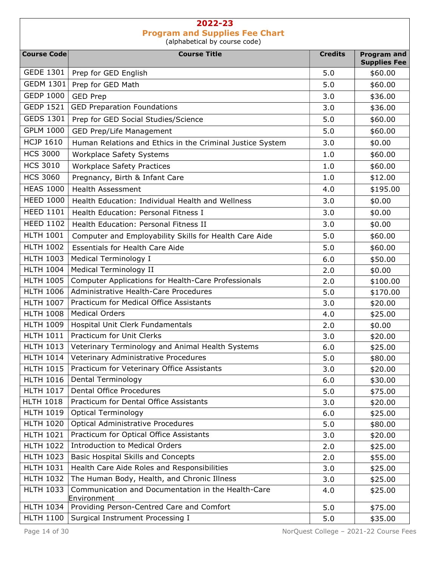| <b>Course Code</b> | <b>Course Title</b>                                               | <b>Credits</b> | <b>Program and</b>  |
|--------------------|-------------------------------------------------------------------|----------------|---------------------|
|                    |                                                                   |                | <b>Supplies Fee</b> |
| <b>GEDE 1301</b>   | Prep for GED English                                              | 5.0            | \$60.00             |
| <b>GEDM 1301</b>   | Prep for GED Math                                                 | 5.0            | \$60.00             |
| <b>GEDP 1000</b>   | <b>GED Prep</b>                                                   | 3.0            | \$36.00             |
| <b>GEDP 1521</b>   | <b>GED Preparation Foundations</b>                                | 3.0            | \$36.00             |
| <b>GEDS 1301</b>   | Prep for GED Social Studies/Science                               | 5.0            | \$60.00             |
| <b>GPLM 1000</b>   | GED Prep/Life Management                                          | 5.0            | \$60.00             |
| <b>HCJP 1610</b>   | Human Relations and Ethics in the Criminal Justice System         | 3.0            | \$0.00              |
| <b>HCS 3000</b>    | Workplace Safety Systems                                          | 1.0            | \$60.00             |
| <b>HCS 3010</b>    | <b>Workplace Safety Practices</b>                                 | 1.0            | \$60.00             |
| <b>HCS 3060</b>    | Pregnancy, Birth & Infant Care                                    | 1.0            | \$12.00             |
| <b>HEAS 1000</b>   | <b>Health Assessment</b>                                          | 4.0            | \$195.00            |
| <b>HEED 1000</b>   | Health Education: Individual Health and Wellness                  | 3.0            | \$0.00              |
| <b>HEED 1101</b>   | Health Education: Personal Fitness I                              | 3.0            | \$0.00              |
| <b>HEED 1102</b>   | Health Education: Personal Fitness II                             | 3.0            | \$0.00              |
| <b>HLTH 1001</b>   | Computer and Employability Skills for Health Care Aide            | 5.0            | \$60.00             |
| <b>HLTH 1002</b>   | <b>Essentials for Health Care Aide</b>                            | 5.0            | \$60.00             |
| <b>HLTH 1003</b>   | Medical Terminology I                                             | 6.0            | \$50.00             |
| <b>HLTH 1004</b>   | Medical Terminology II                                            | 2.0            | \$0.00              |
| <b>HLTH 1005</b>   | Computer Applications for Health-Care Professionals               | 2.0            | \$100.00            |
| <b>HLTH 1006</b>   | Administrative Health-Care Procedures                             | 5.0            | \$170.00            |
| <b>HLTH 1007</b>   | Practicum for Medical Office Assistants                           | 3.0            | \$20.00             |
| <b>HLTH 1008</b>   | <b>Medical Orders</b>                                             | 4.0            | \$25.00             |
| <b>HLTH 1009</b>   | Hospital Unit Clerk Fundamentals                                  | 2.0            | \$0.00              |
| <b>HLTH 1011</b>   | Practicum for Unit Clerks                                         | 3.0            | \$20.00             |
| <b>HLTH 1013</b>   | Veterinary Terminology and Animal Health Systems                  | 6.0            | \$25.00             |
| <b>HLTH 1014</b>   | Veterinary Administrative Procedures                              | 5.0            | \$80.00             |
| <b>HLTH 1015</b>   | Practicum for Veterinary Office Assistants                        | 3.0            | \$20.00             |
| <b>HLTH 1016</b>   | Dental Terminology                                                | 6.0            | \$30.00             |
| <b>HLTH 1017</b>   | <b>Dental Office Procedures</b>                                   | 5.0            | \$75.00             |
| <b>HLTH 1018</b>   | Practicum for Dental Office Assistants                            | 3.0            | \$20.00             |
| <b>HLTH 1019</b>   | <b>Optical Terminology</b>                                        | 6.0            | \$25.00             |
| <b>HLTH 1020</b>   | <b>Optical Administrative Procedures</b>                          | 5.0            | \$80.00             |
| <b>HLTH 1021</b>   | Practicum for Optical Office Assistants                           | 3.0            | \$20.00             |
| <b>HLTH 1022</b>   | <b>Introduction to Medical Orders</b>                             | 2.0            | \$25.00             |
| <b>HLTH 1023</b>   | <b>Basic Hospital Skills and Concepts</b>                         | 2.0            | \$55.00             |
| <b>HLTH 1031</b>   | Health Care Aide Roles and Responsibilities                       | 3.0            | \$25.00             |
| <b>HLTH 1032</b>   | The Human Body, Health, and Chronic Illness                       | 3.0            | \$25.00             |
| <b>HLTH 1033</b>   | Communication and Documentation in the Health-Care<br>Environment | 4.0            | \$25.00             |
| <b>HLTH 1034</b>   | Providing Person-Centred Care and Comfort                         | 5.0            | \$75.00             |
| <b>HLTH 1100</b>   | Surgical Instrument Processing I                                  | 5.0            | \$35.00             |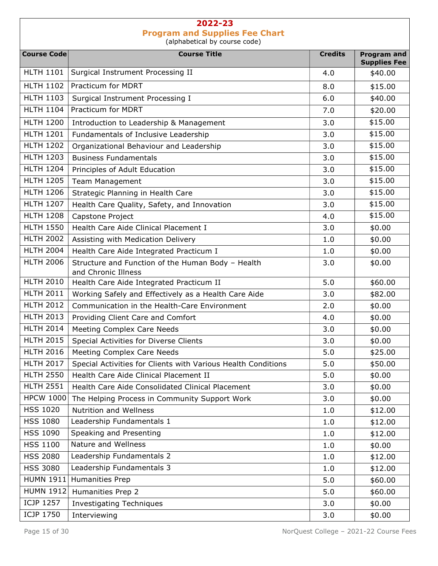| <b>Course Code</b> | aiphabetical by coarse coac)<br><b>Course Title</b>                      | <b>Credits</b> | <b>Program and</b>  |
|--------------------|--------------------------------------------------------------------------|----------------|---------------------|
|                    |                                                                          |                | <b>Supplies Fee</b> |
| <b>HLTH 1101</b>   | Surgical Instrument Processing II                                        | 4.0            | \$40.00             |
| <b>HLTH 1102</b>   | Practicum for MDRT                                                       | 8.0            | \$15.00             |
| <b>HLTH 1103</b>   | Surgical Instrument Processing I                                         | 6.0            | \$40.00             |
| <b>HLTH 1104</b>   | Practicum for MDRT                                                       | 7.0            | \$20.00             |
| <b>HLTH 1200</b>   | Introduction to Leadership & Management                                  | 3.0            | \$15.00             |
| <b>HLTH 1201</b>   | Fundamentals of Inclusive Leadership                                     | 3.0            | \$15.00             |
| <b>HLTH 1202</b>   | Organizational Behaviour and Leadership                                  | 3.0            | \$15.00             |
| <b>HLTH 1203</b>   | <b>Business Fundamentals</b>                                             | 3.0            | \$15.00             |
| <b>HLTH 1204</b>   | Principles of Adult Education                                            | 3.0            | \$15.00             |
| <b>HLTH 1205</b>   | <b>Team Management</b>                                                   | 3.0            | \$15.00             |
| <b>HLTH 1206</b>   | Strategic Planning in Health Care                                        | 3.0            | \$15.00             |
| <b>HLTH 1207</b>   | Health Care Quality, Safety, and Innovation                              | 3.0            | \$15.00             |
| <b>HLTH 1208</b>   | Capstone Project                                                         | 4.0            | \$15.00             |
| <b>HLTH 1550</b>   | Health Care Aide Clinical Placement I                                    | 3.0            | \$0.00              |
| <b>HLTH 2002</b>   | Assisting with Medication Delivery                                       | 1.0            | \$0.00              |
| <b>HLTH 2004</b>   | Health Care Aide Integrated Practicum I                                  | 1.0            | \$0.00              |
| <b>HLTH 2006</b>   | Structure and Function of the Human Body - Health<br>and Chronic Illness | 3.0            | \$0.00              |
| <b>HLTH 2010</b>   | Health Care Aide Integrated Practicum II                                 | 5.0            | \$60.00             |
| <b>HLTH 2011</b>   | Working Safely and Effectively as a Health Care Aide                     | 3.0            | \$82.00             |
| <b>HLTH 2012</b>   | Communication in the Health-Care Environment                             | 2.0            | \$0.00              |
| <b>HLTH 2013</b>   | Providing Client Care and Comfort                                        | 4.0            | \$0.00              |
| <b>HLTH 2014</b>   | Meeting Complex Care Needs                                               | 3.0            | \$0.00              |
| <b>HLTH 2015</b>   | Special Activities for Diverse Clients                                   | 3.0            | \$0.00              |
| <b>HLTH 2016</b>   | Meeting Complex Care Needs                                               | 5.0            | \$25.00             |
| <b>HLTH 2017</b>   | Special Activities for Clients with Various Health Conditions            | 5.0            | \$50.00             |
| <b>HLTH 2550</b>   | Health Care Aide Clinical Placement II                                   | 5.0            | \$0.00              |
| <b>HLTH 2551</b>   | Health Care Aide Consolidated Clinical Placement                         | 3.0            | \$0.00              |
| <b>HPCW 1000</b>   | The Helping Process in Community Support Work                            | 3.0            | \$0.00              |
| <b>HSS 1020</b>    | Nutrition and Wellness                                                   | 1.0            | \$12.00             |
| <b>HSS 1080</b>    | Leadership Fundamentals 1                                                | 1.0            | \$12.00             |
| <b>HSS 1090</b>    | Speaking and Presenting                                                  | 1.0            | \$12.00             |
| <b>HSS 1100</b>    | Nature and Wellness                                                      | 1.0            | \$0.00              |
| <b>HSS 2080</b>    | Leadership Fundamentals 2                                                | 1.0            | \$12.00             |
| <b>HSS 3080</b>    | Leadership Fundamentals 3                                                | 1.0            | \$12.00             |
| <b>HUMN 1911</b>   | Humanities Prep                                                          | 5.0            | \$60.00             |
| <b>HUMN 1912</b>   | Humanities Prep 2                                                        | 5.0            | \$60.00             |
| <b>ICJP 1257</b>   | <b>Investigating Techniques</b>                                          | 3.0            | \$0.00              |
| <b>ICJP 1750</b>   | Interviewing                                                             | 3.0            | \$0.00              |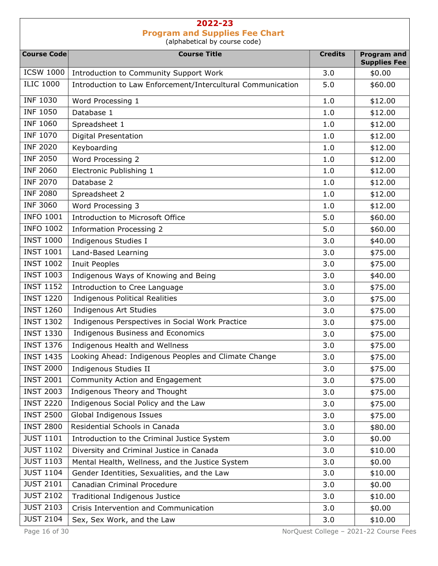| <b>Course Code</b> | <b>Course Title</b>                                         | <b>Credits</b> | <b>Program and</b>  |
|--------------------|-------------------------------------------------------------|----------------|---------------------|
|                    |                                                             |                | <b>Supplies Fee</b> |
| <b>ICSW 1000</b>   | Introduction to Community Support Work                      | 3.0            | \$0.00              |
| <b>ILIC 1000</b>   | Introduction to Law Enforcement/Intercultural Communication | 5.0            | \$60.00             |
| <b>INF 1030</b>    | Word Processing 1                                           | 1.0            | \$12.00             |
| <b>INF 1050</b>    | Database 1                                                  | 1.0            | \$12.00             |
| <b>INF 1060</b>    | Spreadsheet 1                                               | 1.0            | \$12.00             |
| <b>INF 1070</b>    | <b>Digital Presentation</b>                                 | 1.0            | \$12.00             |
| <b>INF 2020</b>    | Keyboarding                                                 | 1.0            | \$12.00             |
| <b>INF 2050</b>    | Word Processing 2                                           | 1.0            | \$12.00             |
| <b>INF 2060</b>    | Electronic Publishing 1                                     | 1.0            | \$12.00             |
| <b>INF 2070</b>    | Database 2                                                  | 1.0            | \$12.00             |
| <b>INF 2080</b>    | Spreadsheet 2                                               | 1.0            | \$12.00             |
| <b>INF 3060</b>    | Word Processing 3                                           | 1.0            | \$12.00             |
| <b>INFO 1001</b>   | Introduction to Microsoft Office                            | 5.0            | \$60.00             |
| <b>INFO 1002</b>   | <b>Information Processing 2</b>                             | 5.0            | \$60.00             |
| <b>INST 1000</b>   | Indigenous Studies I                                        | 3.0            | \$40.00             |
| <b>INST 1001</b>   | Land-Based Learning                                         | 3.0            | \$75.00             |
| <b>INST 1002</b>   | Inuit Peoples                                               | 3.0            | \$75.00             |
| <b>INST 1003</b>   | Indigenous Ways of Knowing and Being                        | 3.0            | \$40.00             |
| <b>INST 1152</b>   | Introduction to Cree Language                               | 3.0            | \$75.00             |
| <b>INST 1220</b>   | <b>Indigenous Political Realities</b>                       | 3.0            | \$75.00             |
| <b>INST 1260</b>   | Indigenous Art Studies                                      | 3.0            | \$75.00             |
| <b>INST 1302</b>   | Indigenous Perspectives in Social Work Practice             | 3.0            | \$75.00             |
| <b>INST 1330</b>   | Indigenous Business and Economics                           | 3.0            | \$75.00             |
| <b>INST 1376</b>   | Indigenous Health and Wellness                              | 3.0            | \$75.00             |
| <b>INST 1435</b>   | Looking Ahead: Indigenous Peoples and Climate Change        | 3.0            | \$75.00             |
| <b>INST 2000</b>   | Indigenous Studies II                                       | 3.0            | \$75.00             |
| <b>INST 2001</b>   | Community Action and Engagement                             | 3.0            | \$75.00             |
| <b>INST 2003</b>   | Indigenous Theory and Thought                               | 3.0            | \$75.00             |
| <b>INST 2220</b>   | Indigenous Social Policy and the Law                        | 3.0            | \$75.00             |
| <b>INST 2500</b>   | Global Indigenous Issues                                    | 3.0            | \$75.00             |
| <b>INST 2800</b>   | Residential Schools in Canada                               | 3.0            | \$80.00             |
| <b>JUST 1101</b>   | Introduction to the Criminal Justice System                 | 3.0            | \$0.00              |
| <b>JUST 1102</b>   | Diversity and Criminal Justice in Canada                    | 3.0            | \$10.00             |
| <b>JUST 1103</b>   | Mental Health, Wellness, and the Justice System             | 3.0            | \$0.00              |
| <b>JUST 1104</b>   | Gender Identities, Sexualities, and the Law                 | 3.0            | \$10.00             |
| <b>JUST 2101</b>   | Canadian Criminal Procedure                                 | 3.0            | \$0.00              |
| <b>JUST 2102</b>   | <b>Traditional Indigenous Justice</b>                       | 3.0            | \$10.00             |
| <b>JUST 2103</b>   | Crisis Intervention and Communication                       | 3.0            | \$0.00              |
| <b>JUST 2104</b>   | Sex, Sex Work, and the Law                                  | 3.0            | \$10.00             |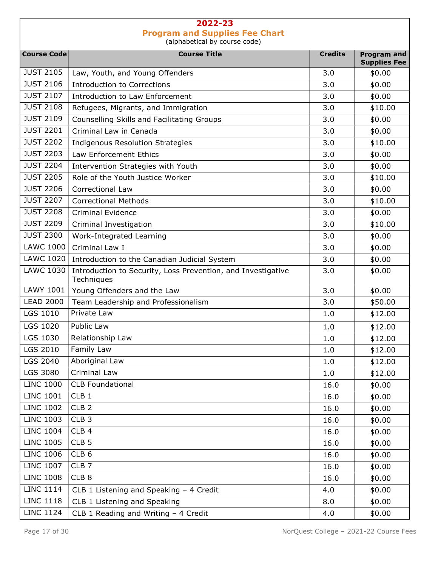| <b>Course Code</b> | <b>Course Title</b>                                                        | <b>Credits</b> | <b>Program and</b>  |
|--------------------|----------------------------------------------------------------------------|----------------|---------------------|
|                    |                                                                            |                | <b>Supplies Fee</b> |
| <b>JUST 2105</b>   | Law, Youth, and Young Offenders                                            | 3.0            | \$0.00              |
| <b>JUST 2106</b>   | <b>Introduction to Corrections</b>                                         | 3.0            | \$0.00              |
| <b>JUST 2107</b>   | Introduction to Law Enforcement                                            | 3.0            | \$0.00              |
| <b>JUST 2108</b>   | Refugees, Migrants, and Immigration                                        | 3.0            | \$10.00             |
| <b>JUST 2109</b>   | Counselling Skills and Facilitating Groups                                 | 3.0            | \$0.00              |
| <b>JUST 2201</b>   | Criminal Law in Canada                                                     | 3.0            | \$0.00              |
| <b>JUST 2202</b>   | <b>Indigenous Resolution Strategies</b>                                    | 3.0            | \$10.00             |
| <b>JUST 2203</b>   | Law Enforcement Ethics                                                     | 3.0            | \$0.00              |
| <b>JUST 2204</b>   | Intervention Strategies with Youth                                         | 3.0            | \$0.00              |
| <b>JUST 2205</b>   | Role of the Youth Justice Worker                                           | 3.0            | \$10.00             |
| <b>JUST 2206</b>   | Correctional Law                                                           | 3.0            | \$0.00              |
| <b>JUST 2207</b>   | <b>Correctional Methods</b>                                                | 3.0            | \$10.00             |
| <b>JUST 2208</b>   | <b>Criminal Evidence</b>                                                   | 3.0            | \$0.00              |
| <b>JUST 2209</b>   | Criminal Investigation                                                     | 3.0            | \$10.00             |
| <b>JUST 2300</b>   | Work-Integrated Learning                                                   | 3.0            | \$0.00              |
| <b>LAWC 1000</b>   | Criminal Law I                                                             | 3.0            | \$0.00              |
| <b>LAWC 1020</b>   | Introduction to the Canadian Judicial System                               | 3.0            | \$0.00              |
| <b>LAWC 1030</b>   | Introduction to Security, Loss Prevention, and Investigative<br>Techniques | 3.0            | \$0.00              |
| <b>LAWY 1001</b>   | Young Offenders and the Law                                                | 3.0            | \$0.00              |
| <b>LEAD 2000</b>   | Team Leadership and Professionalism                                        | 3.0            | \$50.00             |
| LGS 1010           | Private Law                                                                | 1.0            | \$12.00             |
| LGS 1020           | <b>Public Law</b>                                                          | 1.0            | \$12.00             |
| LGS 1030           | Relationship Law                                                           | 1.0            | \$12.00             |
| LGS 2010           | Family Law                                                                 | 1.0            | \$12.00             |
| LGS 2040           | Aboriginal Law                                                             | 1.0            | \$12.00             |
| LGS 3080           | Criminal Law                                                               | 1.0            | \$12.00             |
| <b>LINC 1000</b>   | <b>CLB Foundational</b>                                                    | 16.0           | \$0.00              |
| <b>LINC 1001</b>   | CLB <sub>1</sub>                                                           | 16.0           | \$0.00              |
| <b>LINC 1002</b>   | CLB <sub>2</sub>                                                           | 16.0           | \$0.00              |
| <b>LINC 1003</b>   | CLB <sub>3</sub>                                                           | 16.0           | \$0.00              |
| <b>LINC 1004</b>   | CLB <sub>4</sub>                                                           | 16.0           | \$0.00              |
| <b>LINC 1005</b>   | CLB <sub>5</sub>                                                           | 16.0           | \$0.00              |
| <b>LINC 1006</b>   | CLB <sub>6</sub>                                                           | 16.0           | \$0.00              |
| <b>LINC 1007</b>   | CLB <sub>7</sub>                                                           | 16.0           | \$0.00              |
| <b>LINC 1008</b>   | CLB <sub>8</sub>                                                           | 16.0           | \$0.00              |
| <b>LINC 1114</b>   | CLB 1 Listening and Speaking - 4 Credit                                    | 4.0            | \$0.00              |
| <b>LINC 1118</b>   | CLB 1 Listening and Speaking                                               | 8.0            | \$0.00              |
| <b>LINC 1124</b>   | CLB 1 Reading and Writing - 4 Credit                                       | 4.0            | \$0.00              |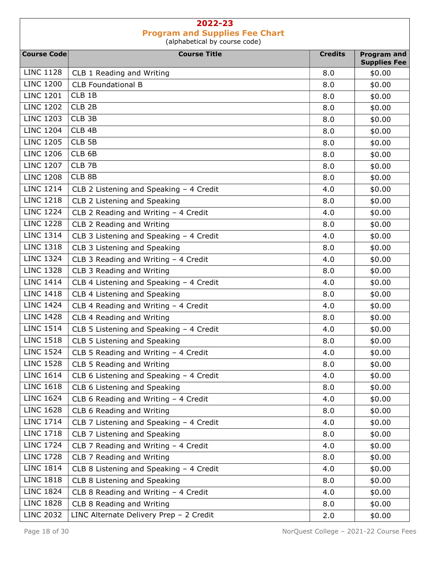| <b>Course Code</b> | <b>Course Title</b>                     | <b>Credits</b> | <b>Program and</b><br><b>Supplies Fee</b> |
|--------------------|-----------------------------------------|----------------|-------------------------------------------|
| <b>LINC 1128</b>   | CLB 1 Reading and Writing               | 8.0            | \$0.00                                    |
| <b>LINC 1200</b>   | <b>CLB Foundational B</b>               | 8.0            | \$0.00                                    |
| <b>LINC 1201</b>   | CLB 1B                                  | 8.0            | \$0.00                                    |
| <b>LINC 1202</b>   | CLB <sub>2B</sub>                       | 8.0            | \$0.00                                    |
| <b>LINC 1203</b>   | CLB 3B                                  | 8.0            | \$0.00                                    |
| <b>LINC 1204</b>   | CLB 4B                                  | 8.0            | \$0.00                                    |
| <b>LINC 1205</b>   | CLB <sub>5B</sub>                       | 8.0            | \$0.00                                    |
| <b>LINC 1206</b>   | CLB <sub>6B</sub>                       | 8.0            | \$0.00                                    |
| <b>LINC 1207</b>   | CLB <sub>7B</sub>                       | 8.0            | \$0.00                                    |
| <b>LINC 1208</b>   | CLB 8B                                  | 8.0            | \$0.00                                    |
| <b>LINC 1214</b>   | CLB 2 Listening and Speaking - 4 Credit | 4.0            | \$0.00                                    |
| <b>LINC 1218</b>   | CLB 2 Listening and Speaking            | 8.0            | \$0.00                                    |
| <b>LINC 1224</b>   | CLB 2 Reading and Writing - 4 Credit    | 4.0            | \$0.00                                    |
| <b>LINC 1228</b>   | CLB 2 Reading and Writing               | 8.0            | \$0.00                                    |
| <b>LINC 1314</b>   | CLB 3 Listening and Speaking - 4 Credit | 4.0            | \$0.00                                    |
| <b>LINC 1318</b>   | CLB 3 Listening and Speaking            | 8.0            | \$0.00                                    |
| <b>LINC 1324</b>   | CLB 3 Reading and Writing - 4 Credit    | 4.0            | \$0.00                                    |
| <b>LINC 1328</b>   | CLB 3 Reading and Writing               | 8.0            | \$0.00                                    |
| <b>LINC 1414</b>   | CLB 4 Listening and Speaking - 4 Credit | 4.0            | \$0.00                                    |
| <b>LINC 1418</b>   | CLB 4 Listening and Speaking            | 8.0            | \$0.00                                    |
| <b>LINC 1424</b>   | CLB 4 Reading and Writing - 4 Credit    | 4.0            | \$0.00                                    |
| <b>LINC 1428</b>   | CLB 4 Reading and Writing               | 8.0            | \$0.00                                    |
| <b>LINC 1514</b>   | CLB 5 Listening and Speaking - 4 Credit | 4.0            | \$0.00                                    |
| <b>LINC 1518</b>   | CLB 5 Listening and Speaking            | 8.0            | \$0.00                                    |
| <b>LINC 1524</b>   | CLB 5 Reading and Writing - 4 Credit    | 4.0            | \$0.00                                    |
| <b>LINC 1528</b>   | CLB 5 Reading and Writing               | 8.0            | \$0.00                                    |
| <b>LINC 1614</b>   | CLB 6 Listening and Speaking - 4 Credit | 4.0            | \$0.00                                    |
| <b>LINC 1618</b>   | CLB 6 Listening and Speaking            | 8.0            | \$0.00                                    |
| <b>LINC 1624</b>   | CLB 6 Reading and Writing - 4 Credit    | 4.0            | \$0.00                                    |
| <b>LINC 1628</b>   | CLB 6 Reading and Writing               | 8.0            | \$0.00                                    |
| <b>LINC 1714</b>   | CLB 7 Listening and Speaking - 4 Credit | 4.0            | \$0.00                                    |
| <b>LINC 1718</b>   | CLB 7 Listening and Speaking            | 8.0            | \$0.00                                    |
| <b>LINC 1724</b>   | CLB 7 Reading and Writing - 4 Credit    | 4.0            | \$0.00                                    |
| <b>LINC 1728</b>   | CLB 7 Reading and Writing               | 8.0            | \$0.00                                    |
| <b>LINC 1814</b>   | CLB 8 Listening and Speaking - 4 Credit | 4.0            | \$0.00                                    |
| <b>LINC 1818</b>   | CLB 8 Listening and Speaking            | 8.0            | \$0.00                                    |
| <b>LINC 1824</b>   | CLB 8 Reading and Writing - 4 Credit    | 4.0            | \$0.00                                    |
| <b>LINC 1828</b>   | CLB 8 Reading and Writing               | 8.0            | \$0.00                                    |
| <b>LINC 2032</b>   | LINC Alternate Delivery Prep - 2 Credit | 2.0            | \$0.00                                    |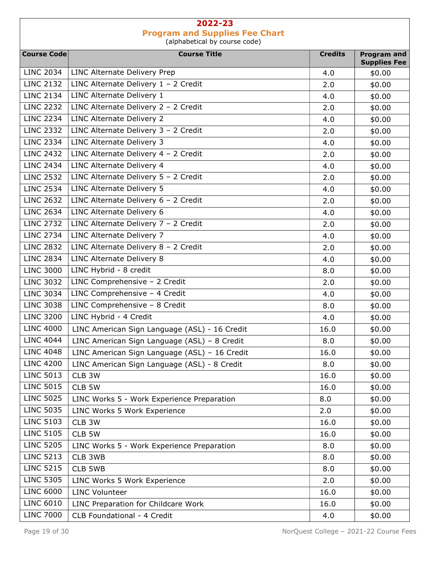| <b>Course Code</b> | <b>Course Title</b>                           | <b>Credits</b> | <b>Program and</b><br><b>Supplies Fee</b> |
|--------------------|-----------------------------------------------|----------------|-------------------------------------------|
| <b>LINC 2034</b>   | <b>LINC Alternate Delivery Prep</b>           | 4.0            | \$0.00                                    |
| <b>LINC 2132</b>   | LINC Alternate Delivery $1 - 2$ Credit        | 2.0            | \$0.00                                    |
| <b>LINC 2134</b>   | LINC Alternate Delivery 1                     | 4.0            | \$0.00                                    |
| <b>LINC 2232</b>   | LINC Alternate Delivery $2 - 2$ Credit        | 2.0            | \$0.00                                    |
| <b>LINC 2234</b>   | LINC Alternate Delivery 2                     | 4.0            | \$0.00                                    |
| <b>LINC 2332</b>   | LINC Alternate Delivery $3 - 2$ Credit        | 2.0            | \$0.00                                    |
| <b>LINC 2334</b>   | LINC Alternate Delivery 3                     | 4.0            | \$0.00                                    |
| <b>LINC 2432</b>   | LINC Alternate Delivery $4 - 2$ Credit        | 2.0            | \$0.00                                    |
| <b>LINC 2434</b>   | LINC Alternate Delivery 4                     | 4.0            | \$0.00                                    |
| <b>LINC 2532</b>   | LINC Alternate Delivery $5 - 2$ Credit        | 2.0            | \$0.00                                    |
| <b>LINC 2534</b>   | <b>LINC Alternate Delivery 5</b>              | 4.0            | \$0.00                                    |
| <b>LINC 2632</b>   | LINC Alternate Delivery $6 - 2$ Credit        | 2.0            | \$0.00                                    |
| <b>LINC 2634</b>   | LINC Alternate Delivery 6                     | 4.0            | \$0.00                                    |
| <b>LINC 2732</b>   | LINC Alternate Delivery $7 - 2$ Credit        | 2.0            | \$0.00                                    |
| <b>LINC 2734</b>   | LINC Alternate Delivery 7                     | 4.0            | \$0.00                                    |
| <b>LINC 2832</b>   | LINC Alternate Delivery $8 - 2$ Credit        | 2.0            | \$0.00                                    |
| <b>LINC 2834</b>   | LINC Alternate Delivery 8                     | 4.0            | \$0.00                                    |
| <b>LINC 3000</b>   | LINC Hybrid - 8 credit                        | 8.0            | \$0.00                                    |
| <b>LINC 3032</b>   | LINC Comprehensive - 2 Credit                 | 2.0            | \$0.00                                    |
| <b>LINC 3034</b>   | LINC Comprehensive - 4 Credit                 | 4.0            | \$0.00                                    |
| <b>LINC 3038</b>   | LINC Comprehensive - 8 Credit                 | 8.0            | \$0.00                                    |
| <b>LINC 3200</b>   | LINC Hybrid - 4 Credit                        | 4.0            | \$0.00                                    |
| <b>LINC 4000</b>   | LINC American Sign Language (ASL) - 16 Credit | 16.0           | \$0.00                                    |
| <b>LINC 4044</b>   | LINC American Sign Language (ASL) - 8 Credit  | 8.0            | \$0.00                                    |
| <b>LINC 4048</b>   | LINC American Sign Language (ASL) - 16 Credit | 16.0           | \$0.00                                    |
| <b>LINC 4200</b>   | LINC American Sign Language (ASL) - 8 Credit  | 8.0            | \$0.00                                    |
| <b>LINC 5013</b>   | CLB 3W                                        | 16.0           | \$0.00                                    |
| <b>LINC 5015</b>   | CLB 5W                                        | 16.0           | \$0.00                                    |
| <b>LINC 5025</b>   | LINC Works 5 - Work Experience Preparation    | 8.0            | \$0.00                                    |
| <b>LINC 5035</b>   | LINC Works 5 Work Experience                  | 2.0            | \$0.00                                    |
| <b>LINC 5103</b>   | CLB 3W                                        | 16.0           | \$0.00                                    |
| <b>LINC 5105</b>   | CLB 5W                                        | 16.0           | \$0.00                                    |
| <b>LINC 5205</b>   | LINC Works 5 - Work Experience Preparation    | 8.0            | \$0.00                                    |
| <b>LINC 5213</b>   | CLB 3WB                                       | 8.0            | \$0.00                                    |
| <b>LINC 5215</b>   | CLB 5WB                                       | 8.0            | \$0.00                                    |
| <b>LINC 5305</b>   | LINC Works 5 Work Experience                  | 2.0            | \$0.00                                    |
| <b>LINC 6000</b>   | <b>LINC Volunteer</b>                         | 16.0           | \$0.00                                    |
| <b>LINC 6010</b>   | LINC Preparation for Childcare Work           | 16.0           | \$0.00                                    |
| <b>LINC 7000</b>   | CLB Foundational - 4 Credit                   | 4.0            | \$0.00                                    |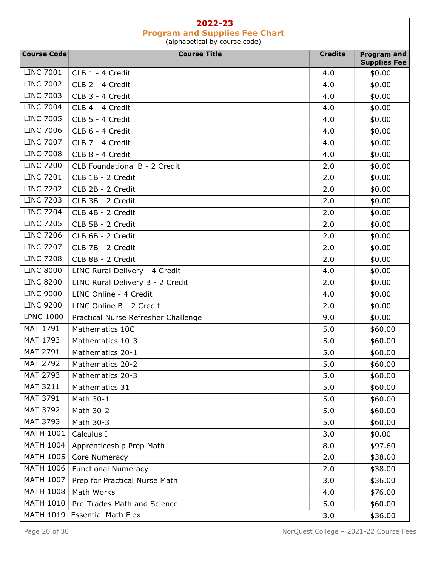| <b>Course Code</b> | <b>Course Title</b>                 | <b>Credits</b> | <b>Program and</b>            |
|--------------------|-------------------------------------|----------------|-------------------------------|
| <b>LINC 7001</b>   | CLB 1 - 4 Credit                    | 4.0            | <b>Supplies Fee</b><br>\$0.00 |
| <b>LINC 7002</b>   | CLB 2 - 4 Credit                    | 4.0            | \$0.00                        |
| <b>LINC 7003</b>   | CLB 3 - 4 Credit                    | 4.0            | \$0.00                        |
| <b>LINC 7004</b>   | CLB 4 - 4 Credit                    | 4.0            | \$0.00                        |
| <b>LINC 7005</b>   | CLB 5 - 4 Credit                    | 4.0            | \$0.00                        |
| <b>LINC 7006</b>   | CLB 6 - 4 Credit                    | 4.0            | \$0.00                        |
| <b>LINC 7007</b>   | CLB 7 - 4 Credit                    | 4.0            | \$0.00                        |
| <b>LINC 7008</b>   | CLB 8 - 4 Credit                    | 4.0            | \$0.00                        |
| <b>LINC 7200</b>   | CLB Foundational B - 2 Credit       | 2.0            | \$0.00                        |
| <b>LINC 7201</b>   | CLB 1B - 2 Credit                   | 2.0            | \$0.00                        |
| <b>LINC 7202</b>   | CLB 2B - 2 Credit                   | 2.0            | \$0.00                        |
| <b>LINC 7203</b>   | CLB 3B - 2 Credit                   | 2.0            | \$0.00                        |
| <b>LINC 7204</b>   | CLB 4B - 2 Credit                   | 2.0            | \$0.00                        |
| <b>LINC 7205</b>   | CLB 5B - 2 Credit                   | 2.0            | \$0.00                        |
| <b>LINC 7206</b>   | CLB 6B - 2 Credit                   | 2.0            | \$0.00                        |
| <b>LINC 7207</b>   | CLB 7B - 2 Credit                   | 2.0            | \$0.00                        |
| <b>LINC 7208</b>   | CLB 8B - 2 Credit                   | 2.0            | \$0.00                        |
| <b>LINC 8000</b>   | LINC Rural Delivery - 4 Credit      | 4.0            | \$0.00                        |
| <b>LINC 8200</b>   | LINC Rural Delivery B - 2 Credit    | 2.0            | \$0.00                        |
| <b>LINC 9000</b>   | LINC Online - 4 Credit              | 4.0            | \$0.00                        |
| <b>LINC 9200</b>   | LINC Online B - 2 Credit            | 2.0            | \$0.00                        |
| <b>LPNC 1000</b>   | Practical Nurse Refresher Challenge | 9.0            | \$0.00                        |
| MAT 1791           | Mathematics 10C                     | 5.0            | \$60.00                       |
| MAT 1793           | Mathematics 10-3                    | 5.0            | \$60.00                       |
| MAT 2791           | Mathematics 20-1                    | 5.0            | \$60.00                       |
| <b>MAT 2792</b>    | Mathematics 20-2                    | 5.0            | \$60.00                       |
| MAT 2793           | Mathematics 20-3                    | 5.0            | \$60.00                       |
| MAT 3211           | Mathematics 31                      | 5.0            | \$60.00                       |
| MAT 3791           | Math 30-1                           | 5.0            | \$60.00                       |
| <b>MAT 3792</b>    | Math 30-2                           | 5.0            | \$60.00                       |
| MAT 3793           | Math 30-3                           | 5.0            | \$60.00                       |
| <b>MATH 1001</b>   | Calculus I                          | 3.0            | \$0.00                        |
| <b>MATH 1004</b>   | Apprenticeship Prep Math            | 8.0            | \$97.60                       |
| <b>MATH 1005</b>   | Core Numeracy                       | 2.0            | \$38.00                       |
| <b>MATH 1006</b>   | <b>Functional Numeracy</b>          | 2.0            | \$38.00                       |
| <b>MATH 1007</b>   | Prep for Practical Nurse Math       | 3.0            | \$36.00                       |
| <b>MATH 1008</b>   | Math Works                          | 4.0            | \$76.00                       |
| <b>MATH 1010</b>   | Pre-Trades Math and Science         | 5.0            | \$60.00                       |
|                    | MATH 1019   Essential Math Flex     | 3.0            | \$36.00                       |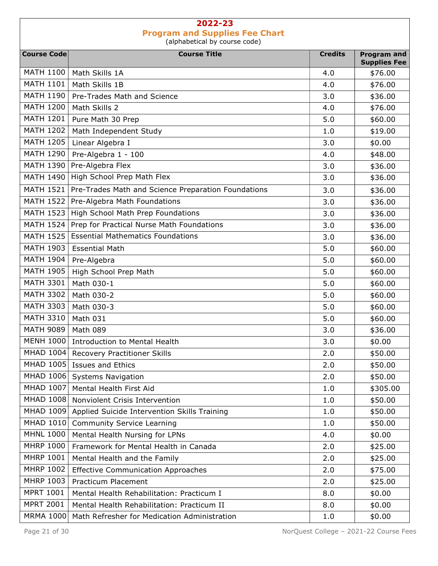| <b>Course Code</b> | <b>Course Title</b>                                 | <b>Credits</b> | <b>Program and</b><br><b>Supplies Fee</b> |
|--------------------|-----------------------------------------------------|----------------|-------------------------------------------|
| <b>MATH 1100</b>   | Math Skills 1A                                      | 4.0            | \$76.00                                   |
| <b>MATH 1101</b>   | Math Skills 1B                                      | 4.0            | \$76.00                                   |
| <b>MATH 1190</b>   | Pre-Trades Math and Science                         | 3.0            | \$36.00                                   |
| <b>MATH 1200</b>   | Math Skills 2                                       | 4.0            | \$76.00                                   |
| <b>MATH 1201</b>   | Pure Math 30 Prep                                   | 5.0            | \$60.00                                   |
| <b>MATH 1202</b>   | Math Independent Study                              | 1.0            | \$19.00                                   |
| <b>MATH 1205</b>   | Linear Algebra I                                    | 3.0            | \$0.00                                    |
| <b>MATH 1290</b>   | Pre-Algebra 1 - 100                                 | 4.0            | \$48.00                                   |
| <b>MATH 1390</b>   | Pre-Algebra Flex                                    | 3.0            | \$36.00                                   |
| <b>MATH 1490</b>   | High School Prep Math Flex                          | 3.0            | \$36.00                                   |
| <b>MATH 1521</b>   | Pre-Trades Math and Science Preparation Foundations | 3.0            | \$36.00                                   |
| <b>MATH 1522</b>   | Pre-Algebra Math Foundations                        | 3.0            | \$36.00                                   |
| <b>MATH 1523</b>   | High School Math Prep Foundations                   | 3.0            | \$36.00                                   |
| <b>MATH 1524</b>   | Prep for Practical Nurse Math Foundations           | 3.0            | \$36.00                                   |
| <b>MATH 1525</b>   | <b>Essential Mathematics Foundations</b>            | 3.0            | \$36.00                                   |
| <b>MATH 1903</b>   | <b>Essential Math</b>                               | 5.0            | \$60.00                                   |
| <b>MATH 1904</b>   | Pre-Algebra                                         | 5.0            | \$60.00                                   |
| <b>MATH 1905</b>   | High School Prep Math                               | 5.0            | \$60.00                                   |
| <b>MATH 3301</b>   | Math 030-1                                          | 5.0            | \$60.00                                   |
| <b>MATH 3302</b>   | Math 030-2                                          | 5.0            | \$60.00                                   |
| <b>MATH 3303</b>   | Math 030-3                                          | 5.0            | \$60.00                                   |
| <b>MATH 3310</b>   | Math 031                                            | 5.0            | \$60.00                                   |
| <b>MATH 9089</b>   | Math 089                                            | 3.0            | \$36.00                                   |
| <b>MENH 1000</b>   | <b>Introduction to Mental Health</b>                | 3.0            | \$0.00                                    |
| MHAD 1004          | <b>Recovery Practitioner Skills</b>                 | 2.0            | \$50.00                                   |
|                    | MHAD 1005 Issues and Ethics                         | 2.0            | \$50.00                                   |
| MHAD 1006          | <b>Systems Navigation</b>                           | 2.0            | \$50.00                                   |
| MHAD 1007          | Mental Health First Aid                             | 1.0            | \$305.00                                  |
| MHAD 1008          | Nonviolent Crisis Intervention                      | 1.0            | \$50.00                                   |
| MHAD 1009          | Applied Suicide Intervention Skills Training        | 1.0            | \$50.00                                   |
| <b>MHAD 1010</b>   | <b>Community Service Learning</b>                   | 1.0            | \$50.00                                   |
| <b>MHNL 1000</b>   | Mental Health Nursing for LPNs                      | 4.0            | \$0.00                                    |
| <b>MHRP 1000</b>   | Framework for Mental Health in Canada               | 2.0            | \$25.00                                   |
| <b>MHRP 1001</b>   | Mental Health and the Family                        | 2.0            | \$25.00                                   |
| <b>MHRP 1002</b>   | <b>Effective Communication Approaches</b>           | 2.0            | \$75.00                                   |
| MHRP 1003          | <b>Practicum Placement</b>                          | 2.0            | \$25.00                                   |
| <b>MPRT 1001</b>   | Mental Health Rehabilitation: Practicum I           | 8.0            | \$0.00                                    |
| <b>MPRT 2001</b>   | Mental Health Rehabilitation: Practicum II          | 8.0            | \$0.00                                    |
| <b>MRMA 1000</b>   | Math Refresher for Medication Administration        | 1.0            | \$0.00                                    |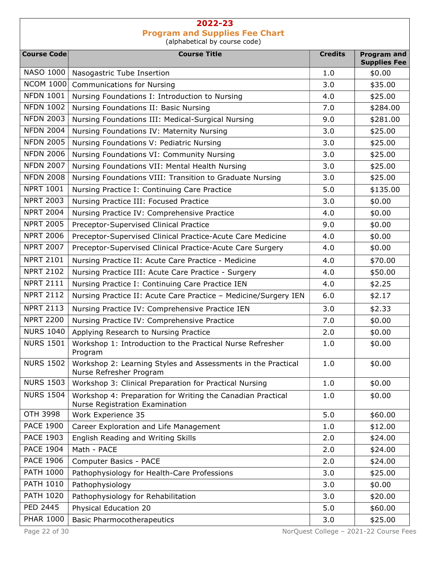Course Code **Course Course Title** Course Title Course Title Credits Program and Supplies Fee NASO 1000 | Nasogastric Tube Insertion 1.0 | \$0.00 NCOM 1000 Communications for Nursing 3.0 \$35.00 NFDN 1001 | Nursing Foundations I: Introduction to Nursing  $\begin{array}{|l|}\n\hline\n\end{array}$  4.0 | \$25.00 NFDN 1002 Nursing Foundations II: Basic Nursing 7.0 | \$284.00 NFDN 2003 | Nursing Foundations III: Medical-Surgical Nursing | 9.0 | \$281.00 NFDN 2004 | Nursing Foundations IV: Maternity Nursing  $\vert$  3.0  $\vert$  \$25.00 NFDN 2005 Nursing Foundations V: Pediatric Nursing 3.0 3.0 \$25.00 NFDN 2006 Nursing Foundations VI: Community Nursing  $\vert$  3.0  $\vert$  \$25.00 NFDN 2007 | Nursing Foundations VII: Mental Health Nursing  $\vert$  3.0  $\vert$  \$25.00 NFDN 2008 Nursing Foundations VIII: Transition to Graduate Nursing  $\vert$  3.0  $\vert$  \$25.00 NPRT 1001 | Nursing Practice I: Continuing Care Practice | 5.0 | \$135.00 NPRT 2003 Nursing Practice III: Focused Practice 3.0 3.0 \$0.00 NPRT 2004 | Nursing Practice IV: Comprehensive Practice  $\vert$  4.0  $\vert$  \$0.00 NPRT 2005 | Preceptor-Supervised Clinical Practice | 9.0 | \$0.00 NPRT 2006 | Preceptor-Supervised Clinical Practice-Acute Care Medicine  $\vert$  4.0  $\vert$  \$0.00 NPRT 2007 | Preceptor-Supervised Clinical Practice-Acute Care Surgery | 4.0 | \$0.00 NPRT 2101 | Nursing Practice II: Acute Care Practice - Medicine  $\vert$  4.0  $\vert$  \$70.00 NPRT 2102 Nursing Practice III: Acute Care Practice - Surgery  $\vert$  4.0  $\vert$  \$50.00 NPRT 2111 | Nursing Practice I: Continuing Care Practice IEN | 4.0 | \$2.25 NPRT 2112 Nursing Practice II: Acute Care Practice – Medicine/Surgery IEN  $\vert$  6.0  $\vert$  \$2.17 NPRT 2113 | Nursing Practice IV: Comprehensive Practice IEN  $\vert$  3.0 | \$2.33 NPRT 2200 Nursing Practice IV: Comprehensive Practice 7.0 1 \$0.00 NURS 1040 | Applying Research to Nursing Practice | 2.0 | \$0.00 NURS 1501 Workshop 1: Introduction to the Practical Nurse Refresher Program  $1.0$   $\frac{1}{2}$  \$0.00 NURS 1502 Workshop 2: Learning Styles and Assessments in the Practical Nurse Refresher Program  $1.0$   $$0.00$ NURS 1503 Workshop 3: Clinical Preparation for Practical Nursing  $\vert$  1.0  $\vert$  \$0.00 NURS 1504 Workshop 4: Preparation for Writing the Canadian Practical Nurse Registration Examination  $1.0$   $\frac{1}{2}$  \$0.00 OTH 3998 Work Experience 35 5.0 5.0 \$60.00 PACE 1900  $\vert$  Career Exploration and Life Management  $\vert$  1.0  $\vert$  \$12.00 PACE 1903 English Reading and Writing Skills 2.0 324.00 PACE 1904 | Math - PACE 2.0 | \$24.00 PACE 1906 | Computer Basics - PACE 2.0 | \$24.00 PATH 1000 Pathophysiology for Health-Care Professions 1 3.0 525.00 PATH 1010 Pathophysiology 3.0 \$0.00 PATH 1020 Pathophysiology for Rehabilitation 1 1 2.0 3.0 \$20.00 PED 2445 Physical Education 20 5.0 5.0 \$60.00 PHAR 1000 | Basic Pharmocotherapeutics  $\begin{array}{|c|c|c|c|c|c|} \hline \text{PHAR 1000} & \text{Basic Pharmocothera} & \text{S.0} & \text{S.0} \ \hline \end{array}$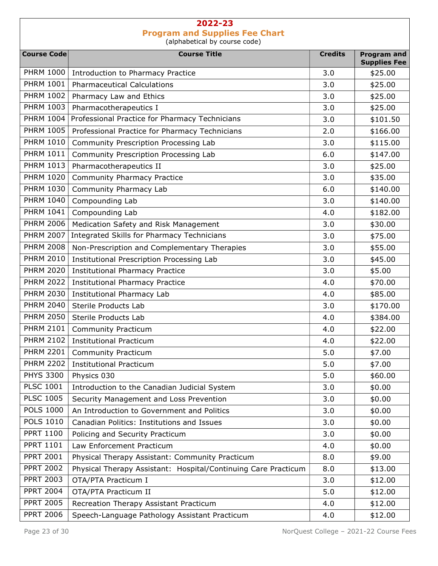| <b>Course Code</b> | <b>Course Title</b>                                                     | <b>Credits</b> | <b>Program and</b>  |
|--------------------|-------------------------------------------------------------------------|----------------|---------------------|
| <b>PHRM 1000</b>   |                                                                         |                | <b>Supplies Fee</b> |
| <b>PHRM 1001</b>   | Introduction to Pharmacy Practice<br><b>Pharmaceutical Calculations</b> | 3.0<br>3.0     | \$25.00<br>\$25.00  |
| <b>PHRM 1002</b>   |                                                                         | 3.0            |                     |
| <b>PHRM 1003</b>   | Pharmacy Law and Ethics<br>Pharmacotherapeutics I                       | 3.0            | \$25.00<br>\$25.00  |
| <b>PHRM 1004</b>   | Professional Practice for Pharmacy Technicians                          |                |                     |
| <b>PHRM 1005</b>   |                                                                         | 3.0            | \$101.50            |
| <b>PHRM 1010</b>   | Professional Practice for Pharmacy Technicians                          | 2.0            | \$166.00            |
|                    | Community Prescription Processing Lab                                   | 3.0            | \$115.00            |
| <b>PHRM 1011</b>   | Community Prescription Processing Lab                                   | 6.0            | \$147.00            |
| <b>PHRM 1013</b>   | Pharmacotherapeutics II                                                 | 3.0            | \$25.00             |
| <b>PHRM 1020</b>   | <b>Community Pharmacy Practice</b>                                      | 3.0            | \$35.00             |
| <b>PHRM 1030</b>   | Community Pharmacy Lab                                                  | 6.0            | \$140.00            |
| <b>PHRM 1040</b>   | Compounding Lab                                                         | 3.0            | \$140.00            |
| <b>PHRM 1041</b>   | Compounding Lab                                                         | 4.0            | \$182.00            |
| <b>PHRM 2006</b>   | Medication Safety and Risk Management                                   | 3.0            | \$30.00             |
| <b>PHRM 2007</b>   | Integrated Skills for Pharmacy Technicians                              | 3.0            | \$75.00             |
| <b>PHRM 2008</b>   | Non-Prescription and Complementary Therapies                            | 3.0            | \$55.00             |
| <b>PHRM 2010</b>   | Institutional Prescription Processing Lab                               | 3.0            | \$45.00             |
| <b>PHRM 2020</b>   | <b>Institutional Pharmacy Practice</b>                                  | 3.0            | \$5.00              |
| <b>PHRM 2022</b>   | <b>Institutional Pharmacy Practice</b>                                  | 4.0            | \$70.00             |
| <b>PHRM 2030</b>   | <b>Institutional Pharmacy Lab</b>                                       | 4.0            | \$85.00             |
| <b>PHRM 2040</b>   | Sterile Products Lab                                                    | 3.0            | \$170.00            |
| <b>PHRM 2050</b>   | Sterile Products Lab                                                    | 4.0            | \$384.00            |
| <b>PHRM 2101</b>   | <b>Community Practicum</b>                                              | 4.0            | \$22.00             |
| <b>PHRM 2102</b>   | <b>Institutional Practicum</b>                                          | 4.0            | \$22.00             |
| <b>PHRM 2201</b>   | <b>Community Practicum</b>                                              | 5.0            | \$7.00              |
|                    | PHRM 2202   Institutional Practicum                                     | 5.0            | \$7.00              |
| <b>PHYS 3300</b>   | Physics 030                                                             | 5.0            | \$60.00             |
| <b>PLSC 1001</b>   | Introduction to the Canadian Judicial System                            | 3.0            | \$0.00              |
| <b>PLSC 1005</b>   | Security Management and Loss Prevention                                 | 3.0            | \$0.00              |
| <b>POLS 1000</b>   | An Introduction to Government and Politics                              | 3.0            | \$0.00              |
| <b>POLS 1010</b>   | Canadian Politics: Institutions and Issues                              | 3.0            | \$0.00              |
| <b>PPRT 1100</b>   | Policing and Security Practicum                                         | 3.0            | \$0.00              |
| <b>PPRT 1101</b>   | Law Enforcement Practicum                                               | 4.0            | \$0.00              |
| <b>PPRT 2001</b>   | Physical Therapy Assistant: Community Practicum                         | 8.0            | \$9.00              |
| <b>PPRT 2002</b>   | Physical Therapy Assistant: Hospital/Continuing Care Practicum          | 8.0            | \$13.00             |
| <b>PPRT 2003</b>   | OTA/PTA Practicum I                                                     | 3.0            | \$12.00             |
| <b>PPRT 2004</b>   | OTA/PTA Practicum II                                                    | 5.0            | \$12.00             |
| <b>PPRT 2005</b>   | Recreation Therapy Assistant Practicum                                  | 4.0            | \$12.00             |
| <b>PPRT 2006</b>   | Speech-Language Pathology Assistant Practicum                           | 4.0            | \$12.00             |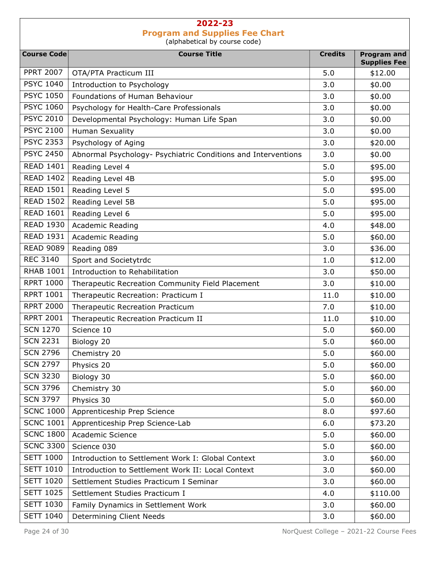| <b>Course Code</b> | <b>Course Title</b>                                           | <b>Credits</b> | <b>Program and</b>  |
|--------------------|---------------------------------------------------------------|----------------|---------------------|
| <b>PPRT 2007</b>   |                                                               |                | <b>Supplies Fee</b> |
| <b>PSYC 1040</b>   | OTA/PTA Practicum III                                         | 5.0            | \$12.00             |
| <b>PSYC 1050</b>   | Introduction to Psychology                                    | 3.0            | \$0.00              |
|                    | Foundations of Human Behaviour                                | 3.0            | \$0.00              |
| <b>PSYC 1060</b>   | Psychology for Health-Care Professionals                      | 3.0            | \$0.00              |
| <b>PSYC 2010</b>   | Developmental Psychology: Human Life Span                     | 3.0            | \$0.00              |
| <b>PSYC 2100</b>   | <b>Human Sexuality</b>                                        | 3.0            | \$0.00              |
| <b>PSYC 2353</b>   | Psychology of Aging                                           | 3.0            | \$20.00             |
| <b>PSYC 2450</b>   | Abnormal Psychology- Psychiatric Conditions and Interventions | 3.0            | \$0.00              |
| <b>READ 1401</b>   | Reading Level 4                                               | 5.0            | \$95.00             |
| <b>READ 1402</b>   | Reading Level 4B                                              | 5.0            | \$95.00             |
| <b>READ 1501</b>   | Reading Level 5                                               | 5.0            | \$95.00             |
| <b>READ 1502</b>   | Reading Level 5B                                              | 5.0            | \$95.00             |
| <b>READ 1601</b>   | Reading Level 6                                               | 5.0            | \$95.00             |
| <b>READ 1930</b>   | Academic Reading                                              | 4.0            | \$48.00             |
| <b>READ 1931</b>   | <b>Academic Reading</b>                                       | 5.0            | \$60.00             |
| <b>READ 9089</b>   | Reading 089                                                   | 3.0            | \$36.00             |
| <b>REC 3140</b>    | Sport and Societytrdc                                         | 1.0            | \$12.00             |
| <b>RHAB 1001</b>   | Introduction to Rehabilitation                                | 3.0            | \$50.00             |
| <b>RPRT 1000</b>   | Therapeutic Recreation Community Field Placement              | 3.0            | \$10.00             |
| <b>RPRT 1001</b>   | Therapeutic Recreation: Practicum I                           | 11.0           | \$10.00             |
| <b>RPRT 2000</b>   | Therapeutic Recreation Practicum                              | 7.0            | \$10.00             |
| <b>RPRT 2001</b>   | Therapeutic Recreation Practicum II                           | 11.0           | \$10.00             |
| <b>SCN 1270</b>    | Science 10                                                    | 5.0            | \$60.00             |
| <b>SCN 2231</b>    | Biology 20                                                    | 5.0            | \$60.00             |
| <b>SCN 2796</b>    | Chemistry 20                                                  | 5.0            | \$60.00             |
| <b>SCN 2797</b>    | Physics 20                                                    | 5.0            | \$60.00             |
| <b>SCN 3230</b>    | Biology 30                                                    | 5.0            | \$60.00             |
| <b>SCN 3796</b>    | Chemistry 30                                                  | 5.0            | \$60.00             |
| <b>SCN 3797</b>    | Physics 30                                                    | 5.0            | \$60.00             |
| <b>SCNC 1000</b>   | Apprenticeship Prep Science                                   | 8.0            | \$97.60             |
| <b>SCNC 1001</b>   | Apprenticeship Prep Science-Lab                               | 6.0            | \$73.20             |
| <b>SCNC 1800</b>   | Academic Science                                              | 5.0            | \$60.00             |
| <b>SCNC 3300</b>   | Science 030                                                   | 5.0            | \$60.00             |
| <b>SETT 1000</b>   | Introduction to Settlement Work I: Global Context             | 3.0            | \$60.00             |
| <b>SETT 1010</b>   | Introduction to Settlement Work II: Local Context             | 3.0            | \$60.00             |
| <b>SETT 1020</b>   | Settlement Studies Practicum I Seminar                        | 3.0            | \$60.00             |
| <b>SETT 1025</b>   | Settlement Studies Practicum I                                | 4.0            | \$110.00            |
| <b>SETT 1030</b>   | Family Dynamics in Settlement Work                            | 3.0            | \$60.00             |
| <b>SETT 1040</b>   | Determining Client Needs                                      | 3.0            | \$60.00             |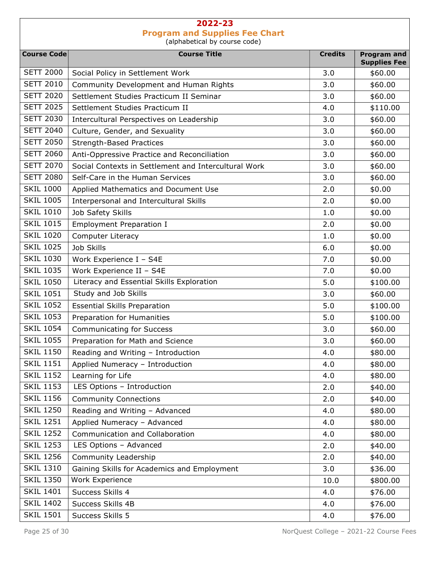| <b>Course Code</b> | <b>Course Title</b>                                  | <b>Credits</b> | <b>Program and</b>  |
|--------------------|------------------------------------------------------|----------------|---------------------|
| <b>SETT 2000</b>   |                                                      |                | <b>Supplies Fee</b> |
| <b>SETT 2010</b>   | Social Policy in Settlement Work                     | 3.0            | \$60.00             |
| <b>SETT 2020</b>   | Community Development and Human Rights               | 3.0            | \$60.00             |
| <b>SETT 2025</b>   | Settlement Studies Practicum II Seminar              | 3.0            | \$60.00             |
|                    | Settlement Studies Practicum II                      | 4.0            | \$110.00            |
| <b>SETT 2030</b>   | Intercultural Perspectives on Leadership             | 3.0            | \$60.00             |
| <b>SETT 2040</b>   | Culture, Gender, and Sexuality                       | 3.0            | \$60.00             |
| <b>SETT 2050</b>   | <b>Strength-Based Practices</b>                      | 3.0            | \$60.00             |
| <b>SETT 2060</b>   | Anti-Oppressive Practice and Reconciliation          | 3.0            | \$60.00             |
| <b>SETT 2070</b>   | Social Contexts in Settlement and Intercultural Work | 3.0            | \$60.00             |
| <b>SETT 2080</b>   | Self-Care in the Human Services                      | 3.0            | \$60.00             |
| <b>SKIL 1000</b>   | Applied Mathematics and Document Use                 | 2.0            | \$0.00              |
| <b>SKIL 1005</b>   | Interpersonal and Intercultural Skills               | 2.0            | \$0.00              |
| <b>SKIL 1010</b>   | Job Safety Skills                                    | 1.0            | \$0.00              |
| <b>SKIL 1015</b>   | <b>Employment Preparation I</b>                      | 2.0            | \$0.00              |
| <b>SKIL 1020</b>   | Computer Literacy                                    | 1.0            | \$0.00              |
| <b>SKIL 1025</b>   | Job Skills                                           | 6.0            | \$0.00              |
| <b>SKIL 1030</b>   | Work Experience I - S4E                              | 7.0            | \$0.00              |
| <b>SKIL 1035</b>   | Work Experience II - S4E                             | 7.0            | \$0.00              |
| <b>SKIL 1050</b>   | Literacy and Essential Skills Exploration            | 5.0            | \$100.00            |
| <b>SKIL 1051</b>   | Study and Job Skills                                 | 3.0            | \$60.00             |
| <b>SKIL 1052</b>   | <b>Essential Skills Preparation</b>                  | 5.0            | \$100.00            |
| <b>SKIL 1053</b>   | Preparation for Humanities                           | 5.0            | \$100.00            |
| <b>SKIL 1054</b>   | <b>Communicating for Success</b>                     | 3.0            | \$60.00             |
| <b>SKIL 1055</b>   | Preparation for Math and Science                     | 3.0            | \$60.00             |
| <b>SKIL 1150</b>   | Reading and Writing - Introduction                   | 4.0            | \$80.00             |
| <b>SKIL 1151</b>   | Applied Numeracy - Introduction                      | 4.0            | \$80.00             |
| <b>SKIL 1152</b>   | Learning for Life                                    | 4.0            | \$80.00             |
| <b>SKIL 1153</b>   | LES Options - Introduction                           | 2.0            | \$40.00             |
| <b>SKIL 1156</b>   | <b>Community Connections</b>                         | 2.0            | \$40.00             |
| <b>SKIL 1250</b>   | Reading and Writing - Advanced                       | 4.0            | \$80.00             |
| <b>SKIL 1251</b>   | Applied Numeracy - Advanced                          | 4.0            | \$80.00             |
| <b>SKIL 1252</b>   | Communication and Collaboration                      | 4.0            | \$80.00             |
| <b>SKIL 1253</b>   | LES Options - Advanced                               | 2.0            | \$40.00             |
| <b>SKIL 1256</b>   | Community Leadership                                 | 2.0            | \$40.00             |
| <b>SKIL 1310</b>   | Gaining Skills for Academics and Employment          | 3.0            | \$36.00             |
| <b>SKIL 1350</b>   | Work Experience                                      | 10.0           | \$800.00            |
| <b>SKIL 1401</b>   | Success Skills 4                                     | 4.0            | \$76.00             |
| <b>SKIL 1402</b>   | Success Skills 4B                                    | 4.0            | \$76.00             |
| <b>SKIL 1501</b>   | Success Skills 5                                     | 4.0            | \$76.00             |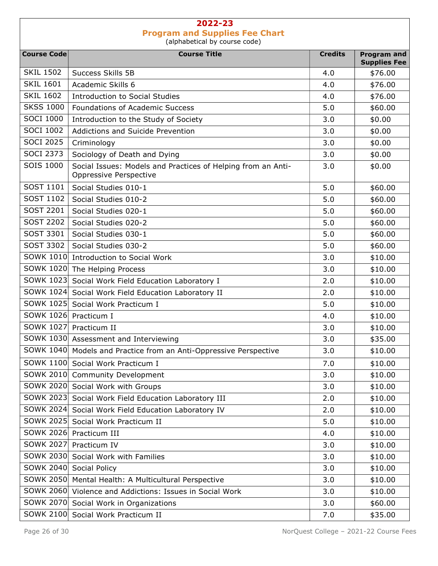| <b>Course Code</b>    | <b>Course Title</b>                                                                    | <b>Credits</b> | <b>Program and</b>  |
|-----------------------|----------------------------------------------------------------------------------------|----------------|---------------------|
|                       |                                                                                        |                | <b>Supplies Fee</b> |
| <b>SKIL 1502</b>      | Success Skills 5B                                                                      | 4.0            | \$76.00             |
| <b>SKIL 1601</b>      | Academic Skills 6                                                                      | 4.0            | \$76.00             |
| <b>SKIL 1602</b>      | Introduction to Social Studies                                                         | 4.0            | \$76.00             |
| <b>SKSS 1000</b>      | <b>Foundations of Academic Success</b>                                                 | 5.0            | \$60.00             |
| <b>SOCI 1000</b>      | Introduction to the Study of Society                                                   | 3.0            | \$0.00              |
| <b>SOCI 1002</b>      | Addictions and Suicide Prevention                                                      | 3.0            | \$0.00              |
| <b>SOCI 2025</b>      | Criminology                                                                            | 3.0            | \$0.00              |
| <b>SOCI 2373</b>      | Sociology of Death and Dying                                                           | 3.0            | \$0.00              |
| SOIS 1000             | Social Issues: Models and Practices of Helping from an Anti-<br>Oppressive Perspective | 3.0            | \$0.00              |
| SOST 1101             | Social Studies 010-1                                                                   | 5.0            | \$60.00             |
| SOST 1102             | Social Studies 010-2                                                                   | 5.0            | \$60.00             |
| <b>SOST 2201</b>      | Social Studies 020-1                                                                   | 5.0            | \$60.00             |
| <b>SOST 2202</b>      | Social Studies 020-2                                                                   | 5.0            | \$60.00             |
| <b>SOST 3301</b>      | Social Studies 030-1                                                                   | 5.0            | \$60.00             |
| SOST 3302             | Social Studies 030-2                                                                   | 5.0            | \$60.00             |
| SOWK 1010             | Introduction to Social Work                                                            | 3.0            | \$10.00             |
|                       | SOWK 1020 The Helping Process                                                          | 3.0            | \$10.00             |
| SOWK 1023             | Social Work Field Education Laboratory I                                               | 2.0            | \$10.00             |
|                       | SOWK 1024 Social Work Field Education Laboratory II                                    | 2.0            | \$10.00             |
| SOWK 1025             | Social Work Practicum I                                                                | 5.0            | \$10.00             |
| SOWK 1026 Practicum I |                                                                                        | 4.0            | \$10.00             |
| <b>SOWK 1027</b>      | Practicum II                                                                           | 3.0            | \$10.00             |
|                       | SOWK 1030 Assessment and Interviewing                                                  | 3.0            | \$35.00             |
|                       | SOWK 1040 Models and Practice from an Anti-Oppressive Perspective                      | 3.0            | \$10.00             |
|                       | SOWK 1100 Social Work Practicum I                                                      | 7.0            | \$10.00             |
| <b>SOWK 2010</b>      | <b>Community Development</b>                                                           | 3.0            | \$10.00             |
|                       | SOWK 2020 Social Work with Groups                                                      | 3.0            | \$10.00             |
|                       | SOWK 2023 Social Work Field Education Laboratory III                                   | 2.0            | \$10.00             |
| SOWK 2024             | Social Work Field Education Laboratory IV                                              | 2.0            | \$10.00             |
| SOWK 2025             | Social Work Practicum II                                                               | 5.0            | \$10.00             |
| SOWK 2026             | Practicum III                                                                          | 4.0            | \$10.00             |
| <b>SOWK 2027</b>      | Practicum IV                                                                           | 3.0            | \$10.00             |
| SOWK 2030             | Social Work with Families                                                              | 3.0            | \$10.00             |
| <b>SOWK 2040</b>      | Social Policy                                                                          | 3.0            | \$10.00             |
| <b>SOWK 2050</b>      | Mental Health: A Multicultural Perspective                                             | 3.0            | \$10.00             |
| SOWK 2060             | Violence and Addictions: Issues in Social Work                                         | 3.0            | \$10.00             |
| SOWK 2070             | Social Work in Organizations                                                           | 3.0            | \$60.00             |
| <b>SOWK 2100</b>      | Social Work Practicum II                                                               | 7.0            | \$35.00             |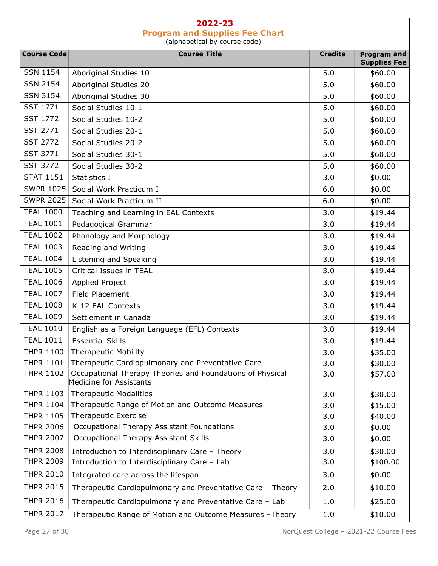| <b>Course Code</b> | <b>Course Title</b>                                                                  | <b>Credits</b> | <b>Program and</b><br><b>Supplies Fee</b> |
|--------------------|--------------------------------------------------------------------------------------|----------------|-------------------------------------------|
| <b>SSN 1154</b>    | Aboriginal Studies 10                                                                | 5.0            | \$60.00                                   |
| <b>SSN 2154</b>    | Aboriginal Studies 20                                                                | 5.0            | \$60.00                                   |
| <b>SSN 3154</b>    | Aboriginal Studies 30                                                                | 5.0            | \$60.00                                   |
| <b>SST 1771</b>    | Social Studies 10-1                                                                  | 5.0            | \$60.00                                   |
| <b>SST 1772</b>    | Social Studies 10-2                                                                  | 5.0            | \$60.00                                   |
| <b>SST 2771</b>    | Social Studies 20-1                                                                  | 5.0            | \$60.00                                   |
| <b>SST 2772</b>    | Social Studies 20-2                                                                  | 5.0            | \$60.00                                   |
| <b>SST 3771</b>    | Social Studies 30-1                                                                  | 5.0            | \$60.00                                   |
| <b>SST 3772</b>    | Social Studies 30-2                                                                  | 5.0            | \$60.00                                   |
| <b>STAT 1151</b>   | Statistics I                                                                         | 3.0            | \$0.00                                    |
| <b>SWPR 1025</b>   | Social Work Practicum I                                                              | 6.0            | \$0.00                                    |
| <b>SWPR 2025</b>   | Social Work Practicum II                                                             | 6.0            | \$0.00                                    |
| <b>TEAL 1000</b>   | Teaching and Learning in EAL Contexts                                                | 3.0            | \$19.44                                   |
| <b>TEAL 1001</b>   | Pedagogical Grammar                                                                  | 3.0            | \$19.44                                   |
| <b>TEAL 1002</b>   | Phonology and Morphology                                                             | 3.0            | \$19.44                                   |
| <b>TEAL 1003</b>   | Reading and Writing                                                                  | 3.0            | \$19.44                                   |
| <b>TEAL 1004</b>   | Listening and Speaking                                                               | 3.0            | \$19.44                                   |
| <b>TEAL 1005</b>   | Critical Issues in TEAL                                                              | 3.0            | \$19.44                                   |
| <b>TEAL 1006</b>   | Applied Project                                                                      | 3.0            | \$19.44                                   |
| <b>TEAL 1007</b>   | Field Placement                                                                      | 3.0            | \$19.44                                   |
| <b>TEAL 1008</b>   | K-12 EAL Contexts                                                                    | 3.0            | \$19.44                                   |
| <b>TEAL 1009</b>   | Settlement in Canada                                                                 | 3.0            | \$19.44                                   |
| <b>TEAL 1010</b>   | English as a Foreign Language (EFL) Contexts                                         | 3.0            | \$19.44                                   |
| <b>TEAL 1011</b>   | <b>Essential Skills</b>                                                              | 3.0            | \$19.44                                   |
| <b>THPR 1100</b>   | <b>Therapeutic Mobility</b>                                                          | 3.0            | \$35.00                                   |
| <b>THPR 1101</b>   | Therapeutic Cardiopulmonary and Preventative Care                                    | 3.0            | \$30.00                                   |
| <b>THPR 1102</b>   | Occupational Therapy Theories and Foundations of Physical<br>Medicine for Assistants | 3.0            | \$57.00                                   |
| <b>THPR 1103</b>   | <b>Therapeutic Modalities</b>                                                        | 3.0            | \$30.00                                   |
| <b>THPR 1104</b>   | Therapeutic Range of Motion and Outcome Measures                                     | 3.0            | \$15.00                                   |
| <b>THPR 1105</b>   | Therapeutic Exercise                                                                 | 3.0            | \$40.00                                   |
| <b>THPR 2006</b>   | Occupational Therapy Assistant Foundations                                           | 3.0            | \$0.00                                    |
| <b>THPR 2007</b>   | Occupational Therapy Assistant Skills                                                | 3.0            | \$0.00                                    |
| <b>THPR 2008</b>   | Introduction to Interdisciplinary Care - Theory                                      | 3.0            | \$30.00                                   |
| <b>THPR 2009</b>   | Introduction to Interdisciplinary Care - Lab                                         | 3.0            | \$100.00                                  |
| <b>THPR 2010</b>   | Integrated care across the lifespan                                                  | 3.0            | \$0.00                                    |
| <b>THPR 2015</b>   | Therapeutic Cardiopulmonary and Preventative Care - Theory                           | 2.0            | \$10.00                                   |
| <b>THPR 2016</b>   | Therapeutic Cardiopulmonary and Preventative Care - Lab                              | 1.0            | \$25.00                                   |
| <b>THPR 2017</b>   | Therapeutic Range of Motion and Outcome Measures -Theory                             | 1.0            | \$10.00                                   |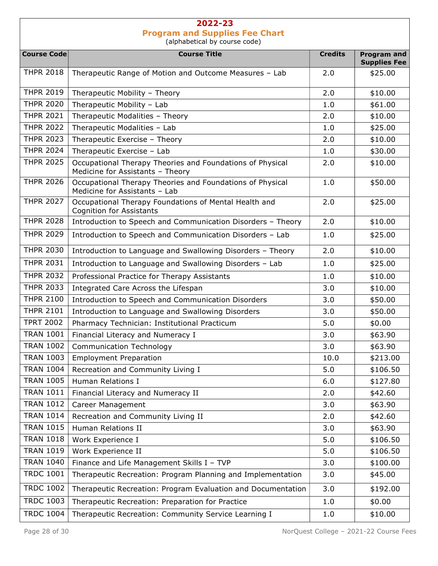Course Code **Course Course Title** Course Title **Course Course Course Account Course Course Account** Credits Program and Supplies Fee THPR 2018 Therapeutic Range of Motion and Outcome Measures – Lab  $\vert$  2.0  $\vert$  \$25.00 THPR 2019 Therapeutic Mobility – Theory 2.0  $\vert$  2.0  $\vert$  \$10.00 THPR 2020 Therapeutic Mobility – Lab  $\vert$  1.0  $\vert$  \$61.00 THPR 2021 Therapeutic Modalities – Theory 2.0  $\vert$  2.0  $\vert$  \$10.00 THPR 2022 Therapeutic Modalities – Lab  $\vert$  1.0  $\vert$  \$25.00 THPR 2023 Therapeutic Exercise – Theory 2.0  $\vert$  2.0 \$10.00 THPR 2024 Therapeutic Exercise – Lab  $\vert$  1.0  $\vert$  \$30.00 THPR 2025 | Occupational Therapy Theories and Foundations of Physical Medicine for Assistants – Theory 2.0 \$10.00 THPR 2026 | Occupational Therapy Theories and Foundations of Physical Medicine for Assistants – Lab  $1.0$   $$50.00$ THPR 2027 Occupational Therapy Foundations of Mental Health and Cognition for Assistants  $2.0$   $\downarrow$  \$25.00 THPR 2028 Introduction to Speech and Communication Disorders – Theory  $\vert$  2.0  $\vert$  \$10.00 THPR 2029 Introduction to Speech and Communication Disorders – Lab  $\vert$  1.0  $\vert$  \$25.00 THPR 2030 Introduction to Language and Swallowing Disorders – Theory  $\vert$  2.0  $\vert$  \$10.00 THPR 2031 Introduction to Language and Swallowing Disorders – Lab  $\vert$  1.0  $\vert$  \$25.00 THPR 2032 | Professional Practice for Therapy Assistants 1.0 | \$10.00 THPR 2033 Integrated Care Across the Lifespan  $\vert$  3.0  $\vert$  \$10.00 THPR 2100 Introduction to Speech and Communication Disorders  $\begin{array}{|l|c|c|c|c|c|c|c|c|} \hline & & & 3.0 & & $50.00 & $50.00 & $50.00 & $50.00 & $50.00 & $50.00 & $50.00 & $50.00 & $50.00 & $50.00 & $50.00 & $50.00 & $50.00 & $50.00 & $50.00 & $50.00 & $50.00 & $50$ THPR 2101 Introduction to Language and Swallowing Disorders  $\begin{array}{|l|}\n\hline\n3.0\n\end{array}$  \$50.00 TPRT 2002 | Pharmacy Technician: Institutional Practicum TPRT 2002 | \$0.00 TRAN 1001 Financial Literacy and Numeracy I 3.0  $\parallel$  3.0  $\parallel$  \$63.90 TRAN 1002 Communication Technology  $\begin{array}{|l} \hline \end{array}$  3.0  $\begin{array}{|l} \hline \end{array}$  \$63.90 TRAN 1003 Employment Preparation 10.0  $\vert$  \$213.00 TRAN 1004 Recreation and Community Living I 5.0 5.0 \$106.50 TRAN 1005 Human Relations I 6.0  $\,$  \$127.80 TRAN 1011 | Financial Literacy and Numeracy II 2.0 | \$42.60 TRAN  $1012$  Career Management 3.0 \$63.90 TRAN 1014 Recreation and Community Living II  $\vert$  2.0  $\vert$  \$42.60 TRAN  $1015$  Human Relations II 3.0  $\parallel$  3.0  $\parallel$  \$63.90 TRAN 1018 | Work Experience I 5.0 | \$106.50 TRAN 1019 | Work Experience II 5.0 | \$106.50 TRAN 1040 Finance and Life Management Skills I – TVP  $\vert$  3.0  $\vert$  \$100.00 TRDC 1001 Therapeutic Recreation: Program Planning and Implementation  $\vert$  3.0  $\vert$  \$45.00 TRDC 1002 Therapeutic Recreation: Program Evaluation and Documentation  $\vert$  3.0  $\vert$  \$192.00 TRDC 1003 Therapeutic Recreation: Preparation for Practice 1.0 1.0 \$0.00 TRDC 1004 Therapeutic Recreation: Community Service Learning I 1.0  $\vert$  \$10.00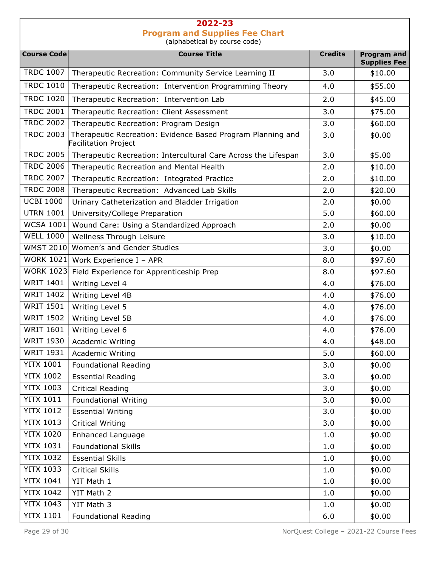|                    | aiphabetical by coarse coac)                                                        |                |                                           |
|--------------------|-------------------------------------------------------------------------------------|----------------|-------------------------------------------|
| <b>Course Code</b> | <b>Course Title</b>                                                                 | <b>Credits</b> | <b>Program and</b><br><b>Supplies Fee</b> |
| <b>TRDC 1007</b>   | Therapeutic Recreation: Community Service Learning II                               | 3.0            | \$10.00                                   |
| <b>TRDC 1010</b>   | Therapeutic Recreation: Intervention Programming Theory                             | 4.0            | \$55.00                                   |
| <b>TRDC 1020</b>   | Therapeutic Recreation: Intervention Lab                                            | 2.0            | \$45.00                                   |
| <b>TRDC 2001</b>   | Therapeutic Recreation: Client Assessment                                           | 3.0            | \$75.00                                   |
| <b>TRDC 2002</b>   | Therapeutic Recreation: Program Design                                              | 3.0            | \$60.00                                   |
| <b>TRDC 2003</b>   | Therapeutic Recreation: Evidence Based Program Planning and<br>Facilitation Project | 3.0            | \$0.00                                    |
| <b>TRDC 2005</b>   | Therapeutic Recreation: Intercultural Care Across the Lifespan                      | 3.0            | \$5.00                                    |
| <b>TRDC 2006</b>   | Therapeutic Recreation and Mental Health                                            | 2.0            | \$10.00                                   |
| <b>TRDC 2007</b>   | Therapeutic Recreation: Integrated Practice                                         | 2.0            | \$10.00                                   |
| <b>TRDC 2008</b>   | Therapeutic Recreation: Advanced Lab Skills                                         | 2.0            | \$20.00                                   |
| <b>UCBI 1000</b>   | Urinary Catheterization and Bladder Irrigation                                      | 2.0            | \$0.00                                    |
| <b>UTRN 1001</b>   | University/College Preparation                                                      | 5.0            | \$60.00                                   |
| <b>WCSA 1001</b>   | Wound Care: Using a Standardized Approach                                           | 2.0            | \$0.00                                    |
| <b>WELL 1000</b>   | Wellness Through Leisure                                                            | 3.0            | \$10.00                                   |
| <b>WMST 2010</b>   | Women's and Gender Studies                                                          | 3.0            | \$0.00                                    |
| WORK 1021          | Work Experience I - APR                                                             | 8.0            | \$97.60                                   |
| <b>WORK 1023</b>   | Field Experience for Apprenticeship Prep                                            | 8.0            | \$97.60                                   |
| <b>WRIT 1401</b>   | Writing Level 4                                                                     | 4.0            | \$76.00                                   |
| <b>WRIT 1402</b>   | Writing Level 4B                                                                    | 4.0            | \$76.00                                   |
| <b>WRIT 1501</b>   | Writing Level 5                                                                     | 4.0            | \$76.00                                   |
| <b>WRIT 1502</b>   | Writing Level 5B                                                                    | 4.0            | \$76.00                                   |
| <b>WRIT 1601</b>   | Writing Level 6                                                                     | 4.0            | \$76.00                                   |
| <b>WRIT 1930</b>   | <b>Academic Writing</b>                                                             | 4.0            | \$48.00                                   |
| <b>WRIT 1931</b>   | <b>Academic Writing</b>                                                             | 5.0            | \$60.00                                   |
| <b>YITX 1001</b>   | <b>Foundational Reading</b>                                                         | 3.0            | \$0.00                                    |
| <b>YITX 1002</b>   | <b>Essential Reading</b>                                                            | 3.0            | \$0.00                                    |
| <b>YITX 1003</b>   | <b>Critical Reading</b>                                                             | 3.0            | \$0.00                                    |
| <b>YITX 1011</b>   | <b>Foundational Writing</b>                                                         | 3.0            | \$0.00                                    |
| <b>YITX 1012</b>   | <b>Essential Writing</b>                                                            | 3.0            | \$0.00                                    |
| <b>YITX 1013</b>   | <b>Critical Writing</b>                                                             | 3.0            | \$0.00                                    |
| <b>YITX 1020</b>   | Enhanced Language                                                                   | 1.0            | \$0.00                                    |
| <b>YITX 1031</b>   | <b>Foundational Skills</b>                                                          | 1.0            | \$0.00                                    |
| <b>YITX 1032</b>   | <b>Essential Skills</b>                                                             | 1.0            | \$0.00                                    |
| <b>YITX 1033</b>   | <b>Critical Skills</b>                                                              | 1.0            | \$0.00                                    |
| <b>YITX 1041</b>   | YIT Math 1                                                                          | 1.0            | \$0.00                                    |
| <b>YITX 1042</b>   | YIT Math 2                                                                          | 1.0            | \$0.00                                    |
| <b>YITX 1043</b>   | YIT Math 3                                                                          | 1.0            | \$0.00                                    |
| <b>YITX 1101</b>   | <b>Foundational Reading</b>                                                         | 6.0            | \$0.00                                    |